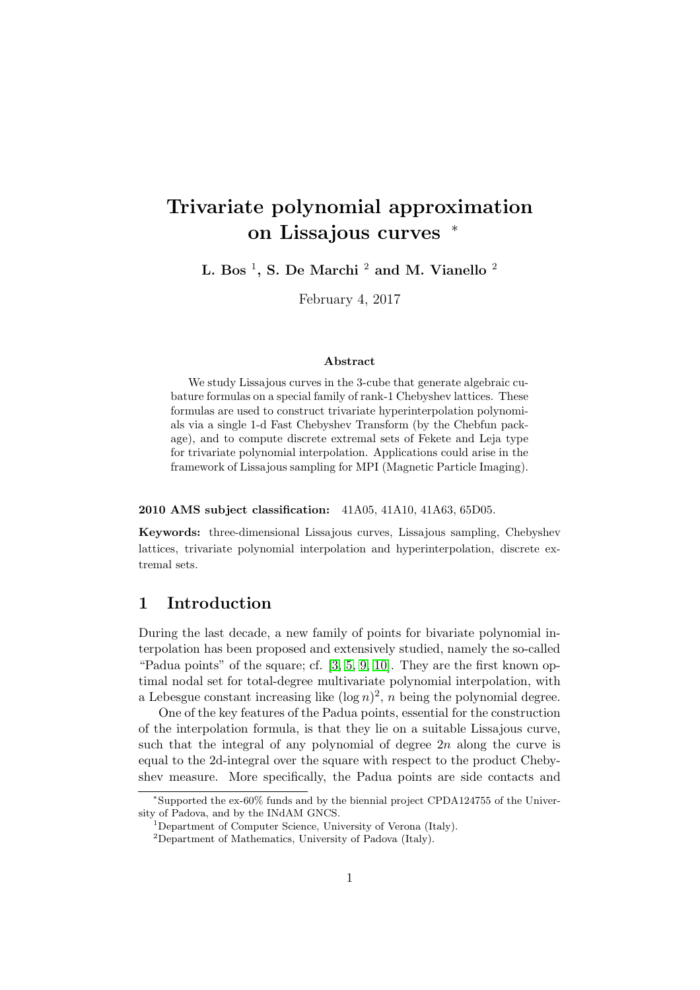# Trivariate polynomial approximation on Lissajous curves <sup>∗</sup>

L. Bos  $^1$ , S. De Marchi  $^2$  and M. Vianello  $^2$ 

February 4, 2017

#### Abstract

We study Lissajous curves in the 3-cube that generate algebraic cubature formulas on a special family of rank-1 Chebyshev lattices. These formulas are used to construct trivariate hyperinterpolation polynomials via a single 1-d Fast Chebyshev Transform (by the Chebfun package), and to compute discrete extremal sets of Fekete and Leja type for trivariate polynomial interpolation. Applications could arise in the framework of Lissajous sampling for MPI (Magnetic Particle Imaging).

#### 2010 AMS subject classification: 41A05, 41A10, 41A63, 65D05.

Keywords: three-dimensional Lissajous curves, Lissajous sampling, Chebyshev lattices, trivariate polynomial interpolation and hyperinterpolation, discrete extremal sets.

# 1 Introduction

During the last decade, a new family of points for bivariate polynomial interpolation has been proposed and extensively studied, namely the so-called "Padua points" of the square; cf. [\[3,](#page-18-0) [5,](#page-18-1) [9,](#page-18-2) [10\]](#page-18-3). They are the first known optimal nodal set for total-degree multivariate polynomial interpolation, with a Lebesgue constant increasing like  $(\log n)^2$ , *n* being the polynomial degree.

One of the key features of the Padua points, essential for the construction of the interpolation formula, is that they lie on a suitable Lissajous curve, such that the integral of any polynomial of degree  $2n$  along the curve is equal to the 2d-integral over the square with respect to the product Chebyshev measure. More specifically, the Padua points are side contacts and

<sup>∗</sup> Supported the ex-60% funds and by the biennial project CPDA124755 of the University of Padova, and by the INdAM GNCS.

<sup>&</sup>lt;sup>1</sup>Department of Computer Science, University of Verona (Italy).

<sup>2</sup>Department of Mathematics, University of Padova (Italy).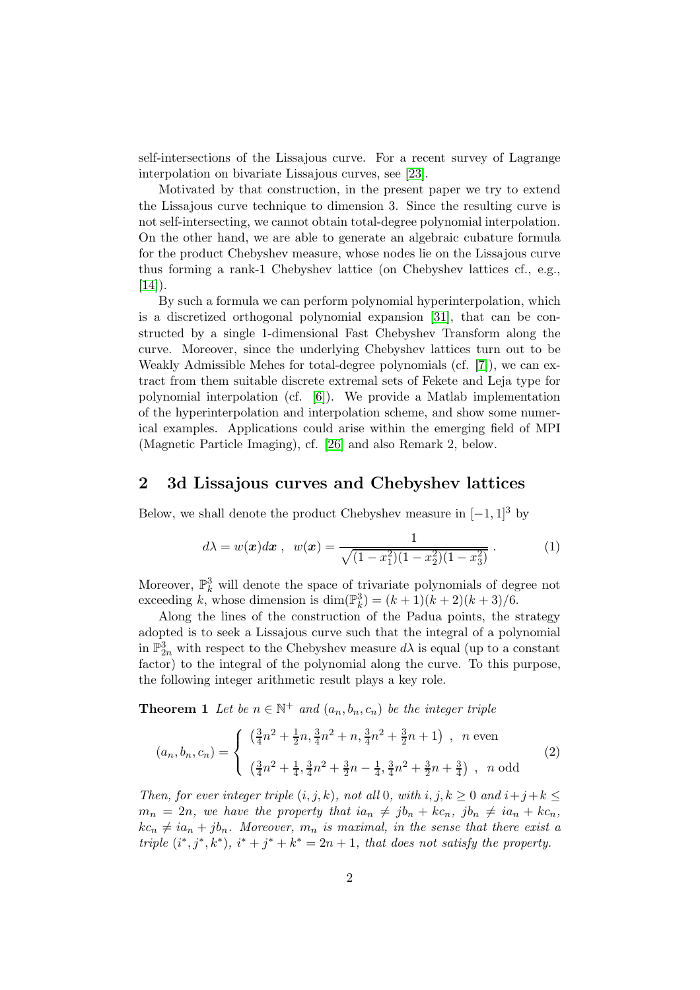self-intersections of the Lissajous curve. For a recent survey of Lagrange interpolation on bivariate Lissajous curves, see [\[23\]](#page-19-0).

Motivated by that construction, in the present paper we try to extend the Lissajous curve technique to dimension 3. Since the resulting curve is not self-intersecting, we cannot obtain total-degree polynomial interpolation. On the other hand, we are able to generate an algebraic cubature formula for the product Chebyshev measure, whose nodes lie on the Lissajous curve thus forming a rank-1 Chebyshev lattice (on Chebyshev lattices cf., e.g.,  $[14]$ ).

By such a formula we can perform polynomial hyperinterpolation, which is a discretized orthogonal polynomial expansion [\[31\]](#page-20-0), that can be constructed by a single 1-dimensional Fast Chebyshev Transform along the curve. Moreover, since the underlying Chebyshev lattices turn out to be Weakly Admissible Mehes for total-degree polynomials (cf. [\[7\]](#page-18-5)), we can extract from them suitable discrete extremal sets of Fekete and Leja type for polynomial interpolation (cf. [\[6\]](#page-18-6)). We provide a Matlab implementation of the hyperinterpolation and interpolation scheme, and show some numerical examples. Applications could arise within the emerging field of MPI (Magnetic Particle Imaging), cf. [\[26\]](#page-19-1) and also Remark 2, below.

### 2 3d Lissajous curves and Chebyshev lattices

Below, we shall denote the product Chebyshev measure in  $[-1, 1]^3$  by

<span id="page-1-1"></span>
$$
d\lambda = w(\boldsymbol{x})d\boldsymbol{x} , w(\boldsymbol{x}) = \frac{1}{\sqrt{(1-x_1^2)(1-x_2^2)(1-x_3^2)}}.
$$
 (1)

Moreover,  $\mathbb{P}_k^3$  will denote the space of trivariate polynomials of degree not exceeding k, whose dimension is  $\dim(\mathbb{P}_k^3) = (k+1)(k+2)(k+3)/6$ .

Along the lines of the construction of the Padua points, the strategy adopted is to seek a Lissajous curve such that the integral of a polynomial in  $\mathbb{P}^3_{2n}$  with respect to the Chebyshev measure  $d\lambda$  is equal (up to a constant factor) to the integral of the polynomial along the curve. To this purpose, the following integer arithmetic result plays a key role.

**Theorem 1** Let be  $n \in \mathbb{N}^+$  and  $(a_n, b_n, c_n)$  be the integer triple

<span id="page-1-0"></span>
$$
(a_n, b_n, c_n) = \begin{cases} \left(\frac{3}{4}n^2 + \frac{1}{2}n, \frac{3}{4}n^2 + n, \frac{3}{4}n^2 + \frac{3}{2}n + 1\right), & n \text{ even} \\ \left(\frac{3}{4}n^2 + \frac{1}{4}, \frac{3}{4}n^2 + \frac{3}{2}n - \frac{1}{4}, \frac{3}{4}n^2 + \frac{3}{2}n + \frac{3}{4}\right), & n \text{ odd} \end{cases} (2)
$$

Then, for ever integer triple  $(i, j, k)$ , not all 0, with  $i, j, k \geq 0$  and  $i+j+k \leq 0$  $m_n = 2n$ , we have the property that  $ia_n \neq jb_n + kc_n$ ,  $jb_n \neq ia_n + kc_n$ ,  $kc_n \neq ia_n + jb_n$ . Moreover,  $m_n$  is maximal, in the sense that there exist a triple  $(i^*, j^*, k^*)$ ,  $i^* + j^* + k^* = 2n + 1$ , that does not satisfy the property.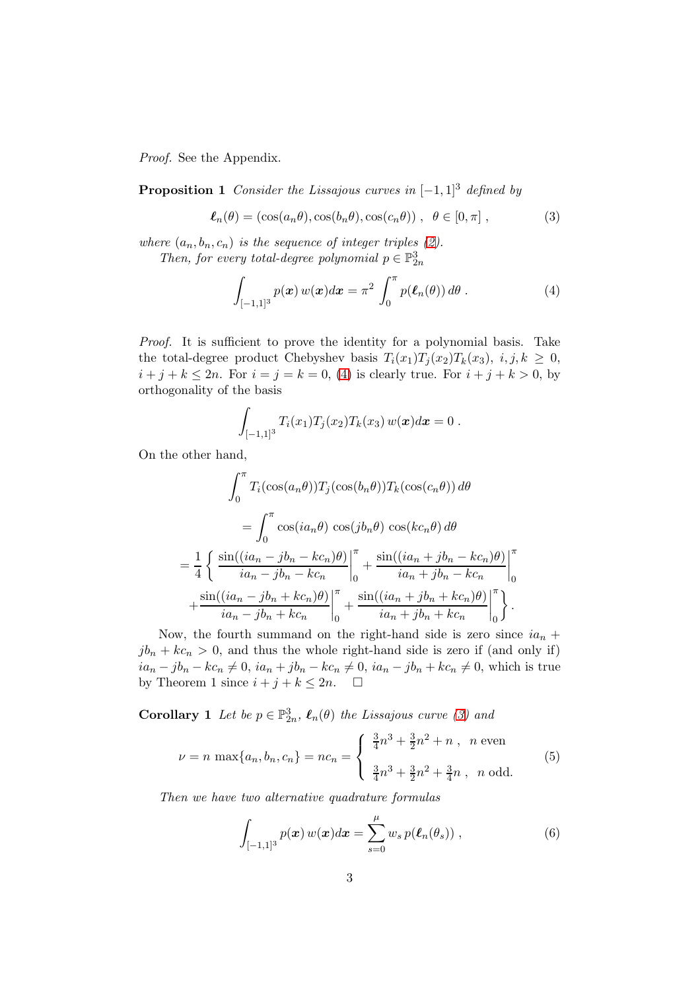Proof. See the Appendix.

**Proposition 1** Consider the Lissajous curves in  $[-1, 1]^3$  defined by

<span id="page-2-1"></span>
$$
\ell_n(\theta) = (\cos(a_n\theta), \cos(b_n\theta), \cos(c_n\theta)), \ \theta \in [0, \pi], \tag{3}
$$

where  $(a_n, b_n, c_n)$  is the sequence of integer triples [\(2\)](#page-1-0).

Then, for every total-degree polynomial  $p \in \mathbb{P}^3_{2n}$ 

<span id="page-2-0"></span>
$$
\int_{[-1,1]^3} p(\boldsymbol{x}) w(\boldsymbol{x}) d\boldsymbol{x} = \pi^2 \int_0^{\pi} p(\boldsymbol{\ell}_n(\theta)) d\theta.
$$
 (4)

Proof. It is sufficient to prove the identity for a polynomial basis. Take the total-degree product Chebyshev basis  $T_i(x_1)T_i(x_2)T_k(x_3), i, j, k \geq 0$ ,  $i + j + k \le 2n$ . For  $i = j = k = 0$ , [\(4\)](#page-2-0) is clearly true. For  $i + j + k > 0$ , by orthogonality of the basis

$$
\int_{[-1,1]^3} T_i(x_1) T_j(x_2) T_k(x_3) w(\boldsymbol{x}) d\boldsymbol{x} = 0.
$$

On the other hand,

$$
\int_0^{\pi} T_i(\cos(a_n\theta))T_j(\cos(b_n\theta))T_k(\cos(c_n\theta)) d\theta
$$
  
= 
$$
\int_0^{\pi} \cos(ia_n\theta) \cos(jb_n\theta) \cos(kc_n\theta) d\theta
$$
  
= 
$$
\frac{1}{4} \left\{ \frac{\sin((ia_n - jb_n - kc_n)\theta)}{ia_n - jb_n - kc_n} \Big|_0^{\pi} + \frac{\sin((ia_n + jb_n - kc_n)\theta)}{ia_n + jb_n - kc_n} \Big|_0^{\pi} + \frac{\sin((ia_n - jb_n + kc_n)\theta)}{ia_n - jb_n + kc_n} \Big|_0^{\pi} + \frac{\sin((ia_n + jb_n + kc_n)\theta)}{ia_n + jb_n + kc_n} \Big|_0^{\pi} \right\}.
$$

Now, the fourth summand on the right-hand side is zero since  $ia_n$  +  $jb_n + kc_n > 0$ , and thus the whole right-hand side is zero if (and only if)  $ia_n - jb_n - kc_n \neq 0$ ,  $ia_n + jb_n - kc_n \neq 0$ ,  $ia_n - jb_n + kc_n \neq 0$ , which is true<br>by Theorem 1 since  $i + j + k < 2n$ . □ by Theorem 1 since  $i + j + k \leq 2n$ .

**Corollary 1** Let be  $p \in \mathbb{P}_{2n}^3$ ,  $\ell_n(\theta)$  the Lissajous curve [\(3\)](#page-2-1) and

$$
\nu = n \max\{a_n, b_n, c_n\} = nc_n = \begin{cases} \frac{3}{4}n^3 + \frac{3}{2}n^2 + n , & n \text{ even} \\ \frac{3}{4}n^3 + \frac{3}{2}n^2 + \frac{3}{4}n , & n \text{ odd.} \end{cases}
$$
(5)

Then we have two alternative quadrature formulas

<span id="page-2-2"></span>
$$
\int_{[-1,1]^3} p(\boldsymbol{x}) w(\boldsymbol{x}) d\boldsymbol{x} = \sum_{s=0}^{\mu} w_s p(\boldsymbol{\ell}_n(\theta_s)), \qquad (6)
$$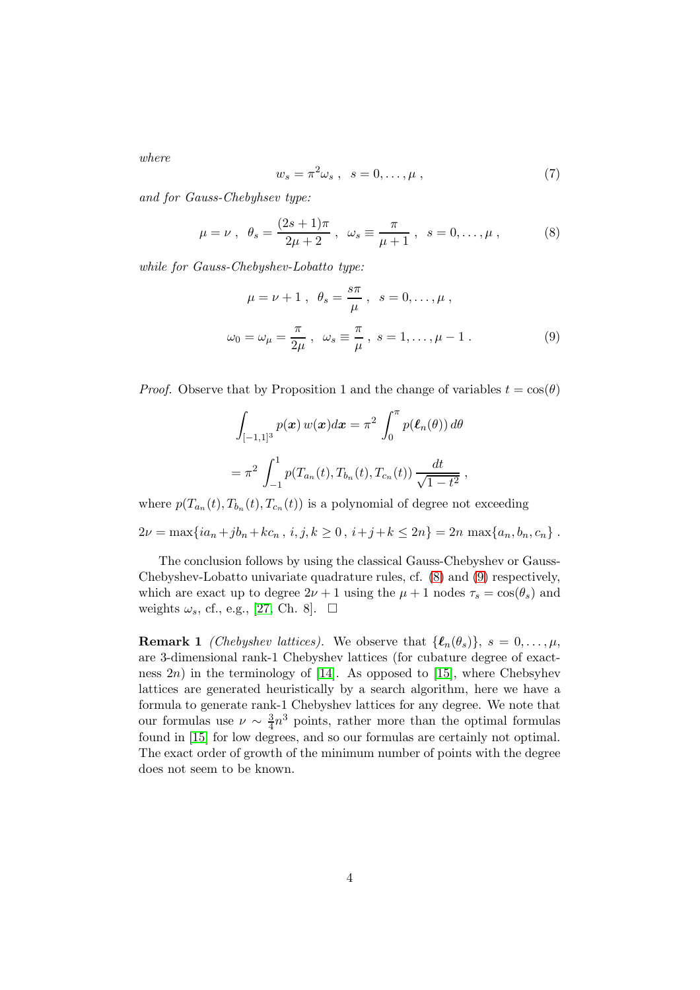where

$$
w_s = \pi^2 \omega_s \ , \quad s = 0, \dots, \mu \ , \tag{7}
$$

and for Gauss-Chebyhsev type:

<span id="page-3-0"></span>
$$
\mu = \nu
$$
,  $\theta_s = \frac{(2s+1)\pi}{2\mu+2}$ ,  $\omega_s \equiv \frac{\pi}{\mu+1}$ ,  $s = 0, ..., \mu$ , (8)

while for Gauss-Chebyshev-Lobatto type:

<span id="page-3-1"></span>
$$
\mu = \nu + 1, \quad \theta_s = \frac{s\pi}{\mu}, \quad s = 0, \dots, \mu,
$$
  
\n $\omega_0 = \omega_\mu = \frac{\pi}{2\mu}, \quad \omega_s \equiv \frac{\pi}{\mu}, \quad s = 1, \dots, \mu - 1.$  (9)

*Proof.* Observe that by Proposition 1 and the change of variables  $t = \cos(\theta)$ 

$$
\int_{[-1,1]^3} p(\mathbf{x}) w(\mathbf{x}) d\mathbf{x} = \pi^2 \int_0^{\pi} p(\ell_n(\theta)) d\theta
$$

$$
= \pi^2 \int_{-1}^1 p(T_{a_n}(t), T_{b_n}(t), T_{c_n}(t)) \frac{dt}{\sqrt{1 - t^2}},
$$

where  $p(T_{a_n}(t), T_{b_n}(t), T_{c_n}(t))$  is a polynomial of degree not exceeding

 $2\nu = \max\{ia_n + jb_n + kc_n, i, j, k \ge 0, i+j+k \le 2n\} = 2n \max\{a_n, b_n, c_n\}.$ 

The conclusion follows by using the classical Gauss-Chebyshev or Gauss-Chebyshev-Lobatto univariate quadrature rules, cf. [\(8\)](#page-3-0) and [\(9\)](#page-3-1) respectively, which are exact up to degree  $2\nu + 1$  using the  $\mu + 1$  nodes  $\tau_s = \cos(\theta_s)$  and weights  $\omega_s$ , cf., e.g., [\[27,](#page-19-2) Ch. 8].  $\Box$ 

**Remark 1** *(Chebyshev lattices)*. We observe that  $\{\ell_n(\theta_s)\}, s = 0, \ldots, \mu,$ are 3-dimensional rank-1 Chebyshev lattices (for cubature degree of exactness  $2n$ ) in the terminology of [\[14\]](#page-18-4). As opposed to [\[15\]](#page-18-7), where Chebsyhev lattices are generated heuristically by a search algorithm, here we have a formula to generate rank-1 Chebyshev lattices for any degree. We note that our formulas use  $\nu \sim \frac{3}{4}$  $\frac{3}{4}n^3$  points, rather more than the optimal formulas found in [\[15\]](#page-18-7) for low degrees, and so our formulas are certainly not optimal. The exact order of growth of the minimum number of points with the degree does not seem to be known.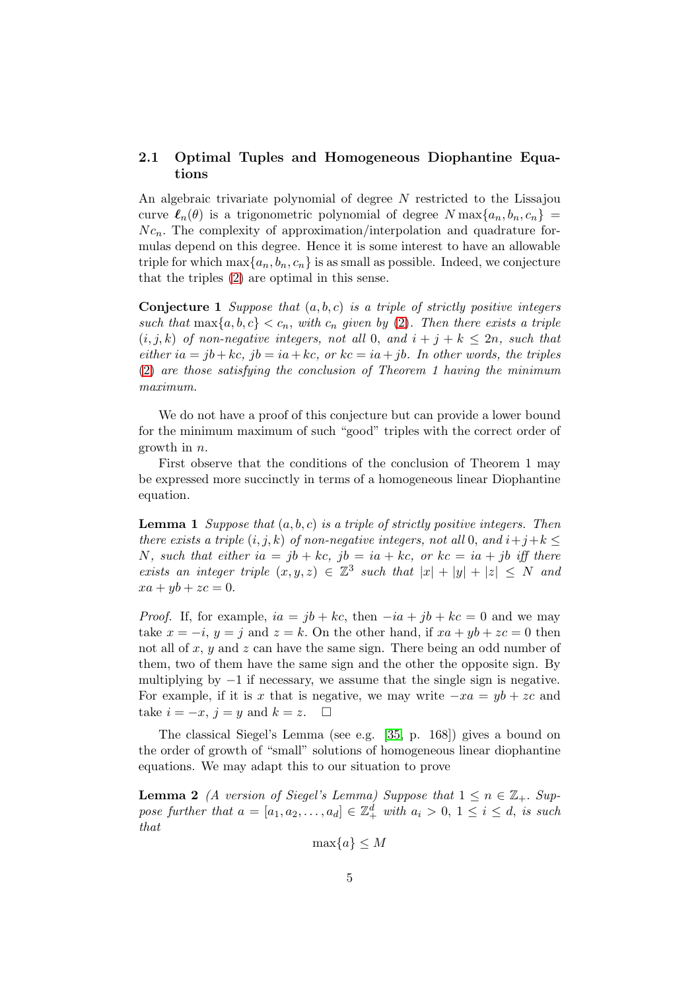#### 2.1 Optimal Tuples and Homogeneous Diophantine Equations

An algebraic trivariate polynomial of degree N restricted to the Lissajou curve  $\ell_n(\theta)$  is a trigonometric polynomial of degree  $N \max\{a_n, b_n, c_n\}$  $N c_n$ . The complexity of approximation/interpolation and quadrature formulas depend on this degree. Hence it is some interest to have an allowable triple for which  $\max\{a_n, b_n, c_n\}$  is as small as possible. Indeed, we conjecture that the triples [\(2\)](#page-1-0) are optimal in this sense.

**Conjecture 1** Suppose that  $(a, b, c)$  is a triple of strictly positive integers such that  $\max\{a, b, c\} < c_n$ , with  $c_n$  given by [\(2\)](#page-1-0). Then there exists a triple  $(i, j, k)$  of non-negative integers, not all 0, and  $i + j + k \leq 2n$ , such that either ia = jb + kc, jb = ia + kc, or kc = ia + jb. In other words, the triples [\(2\)](#page-1-0) are those satisfying the conclusion of Theorem 1 having the minimum maximum.

We do not have a proof of this conjecture but can provide a lower bound for the minimum maximum of such "good" triples with the correct order of growth in n.

First observe that the conditions of the conclusion of Theorem 1 may be expressed more succinctly in terms of a homogeneous linear Diophantine equation.

**Lemma 1** Suppose that  $(a, b, c)$  is a triple of strictly positive integers. Then there exists a triple  $(i, j, k)$  of non-negative integers, not all 0, and  $i+j+k \leq$ N, such that either  $ia = jb + kc$ ,  $jb = ia + kc$ , or  $kc = ia + jb$  iff there exists an integer triple  $(x, y, z) \in \mathbb{Z}^3$  such that  $|x| + |y| + |z| \leq N$  and  $xa + yb + zc = 0.$ 

*Proof.* If, for example,  $ia = jb + kc$ , then  $-ia + jb + kc = 0$  and we may take  $x = -i$ ,  $y = j$  and  $z = k$ . On the other hand, if  $xa + yb + zc = 0$  then not all of  $x, y$  and  $z$  can have the same sign. There being an odd number of them, two of them have the same sign and the other the opposite sign. By multiplying by  $-1$  if necessary, we assume that the single sign is negative. For example, if it is x that is negative, we may write  $-xa = yb + zc$  and take  $i = -x$ ,  $i = y$  and  $k = z$ take  $i = -x$ ,  $j = y$  and  $k = z$ .

The classical Siegel's Lemma (see e.g. [\[35,](#page-20-1) p. 168]) gives a bound on the order of growth of "small" solutions of homogeneous linear diophantine equations. We may adapt this to our situation to prove

**Lemma 2** (A version of Siegel's Lemma) Suppose that  $1 \le n \in \mathbb{Z}_+$ . Suppose further that  $a = [a_1, a_2, \dots, a_d] \in \mathbb{Z}_+^d$  with  $a_i > 0, 1 \le i \le d$ , is such that

$$
\max\{a\} \le M
$$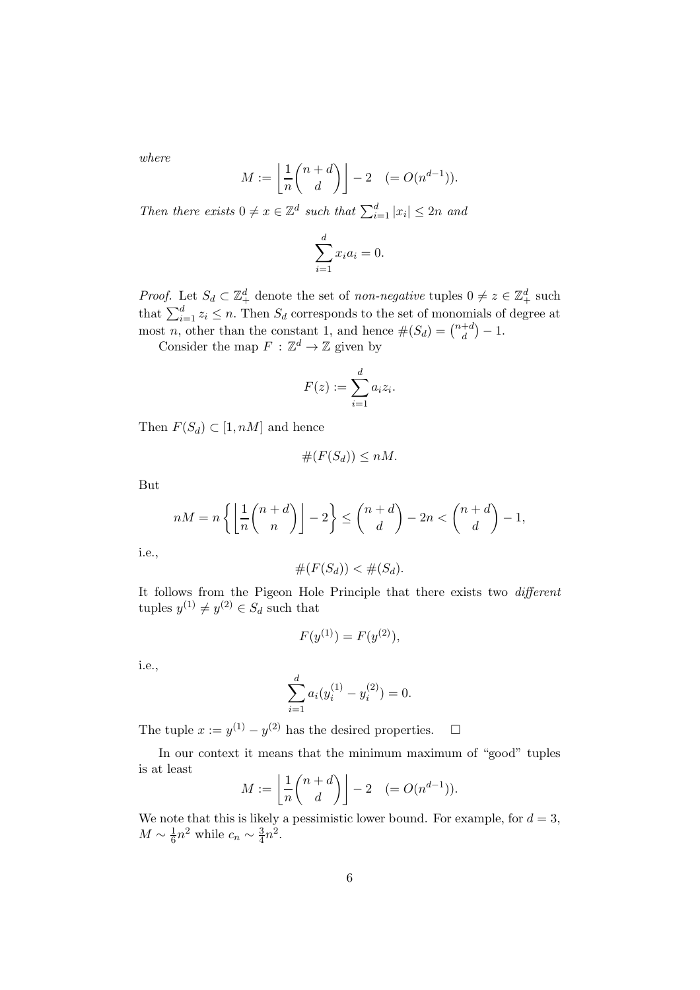where

$$
M := \left\lfloor \frac{1}{n} {n+d \choose d} \right\rfloor - 2 \quad (= O(n^{d-1})).
$$

Then there exists  $0 \neq x \in \mathbb{Z}^d$  such that  $\sum_{i=1}^d |x_i| \leq 2n$  and

$$
\sum_{i=1}^{d} x_i a_i = 0.
$$

*Proof.* Let  $S_d \subset \mathbb{Z}_+^d$  denote the set of *non-negative* tuples  $0 \neq z \in \mathbb{Z}_+^d$  such that  $\sum_{i=1}^{d} z_i \leq n$ . Then  $S_d$  corresponds to the set of monomials of degree at most *n*, other than the constant 1, and hence  $#(S_d) = \binom{n+d}{d}$  $\binom{+d}{d}-1.$ 

Consider the map  $F : \mathbb{Z}^d \to \mathbb{Z}$  given by

$$
F(z) := \sum_{i=1}^d a_i z_i.
$$

Then  $F(S_d) \subset [1, nM]$  and hence

$$
\#(F(S_d)) \le nM.
$$

But

$$
nM = n\left\{ \left\lfloor \frac{1}{n} \binom{n+d}{n} \right\rfloor - 2 \right\} \le \binom{n+d}{d} - 2n < \binom{n+d}{d} - 1,
$$

i.e.,

$$
\#(F(S_d)) < \#(S_d).
$$

It follows from the Pigeon Hole Principle that there exists two different tuples  $y^{(1)} \neq y^{(2)} \in S_d$  such that

$$
F(y^{(1)}) = F(y^{(2)}),
$$

i.e.,

$$
\sum_{i=1}^{d} a_i (y_i^{(1)} - y_i^{(2)}) = 0.
$$

The tuple  $x := y^{(1)} - y^{(2)}$  has the desired properties.  $\Box$ 

In our context it means that the minimum maximum of "good" tuples is at least

$$
M := \left\lfloor \frac{1}{n} \binom{n+d}{d} \right\rfloor - 2 \quad (= O(n^{d-1})).
$$

We note that this is likely a pessimistic lower bound. For example, for  $d = 3$ ,  $M \sim \frac{1}{6}$  $\frac{1}{6}n^2$  while  $c_n \sim \frac{3}{4}$  $\frac{3}{4}n^2$ .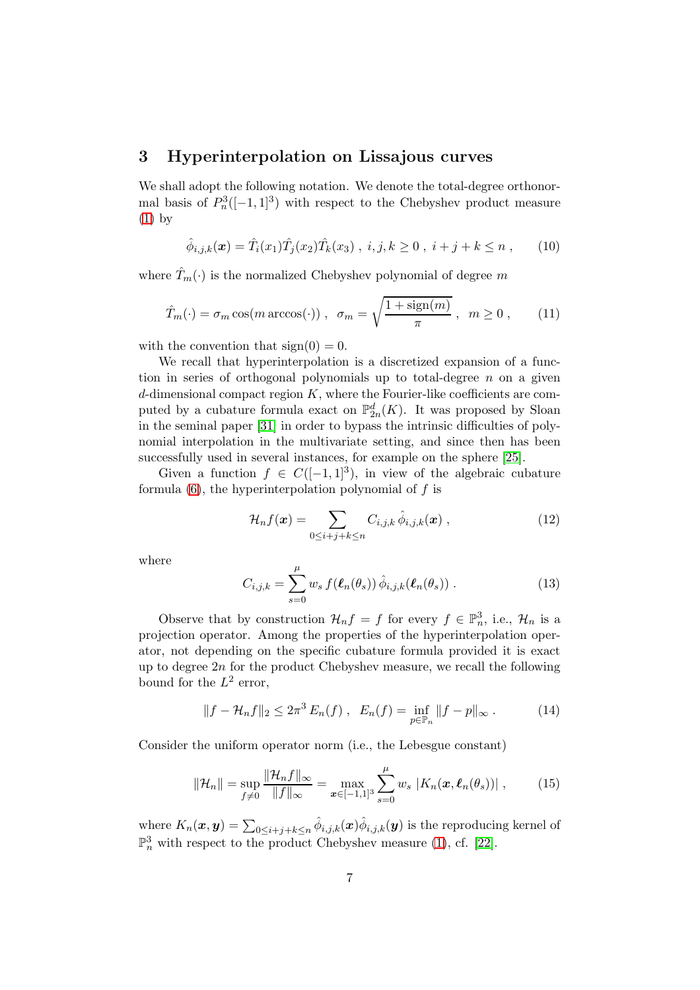#### 3 Hyperinterpolation on Lissajous curves

We shall adopt the following notation. We denote the total-degree orthonormal basis of  $P_n^3([-1, 1]^3)$  with respect to the Chebyshev product measure [\(1\)](#page-1-1) by

$$
\hat{\phi}_{i,j,k}(\boldsymbol{x}) = \hat{T}_i(x_1)\hat{T}_j(x_2)\hat{T}_k(x_3) , i, j, k \ge 0 , i + j + k \le n , \qquad (10)
$$

where  $\hat{T}_m(\cdot)$  is the normalized Chebyshev polynomial of degree m

$$
\hat{T}_m(\cdot) = \sigma_m \cos(m \arccos(\cdot)), \quad \sigma_m = \sqrt{\frac{1 + \text{sign}(m)}{\pi}}, \quad m \ge 0, \quad (11)
$$

with the convention that  $sign(0) = 0$ .

We recall that hyperinterpolation is a discretized expansion of a function in series of orthogonal polynomials up to total-degree  $n$  on a given  $d$ -dimensional compact region  $K$ , where the Fourier-like coefficients are computed by a cubature formula exact on  $\mathbb{P}_{2n}^d(K)$ . It was proposed by Sloan in the seminal paper [\[31\]](#page-20-0) in order to bypass the intrinsic difficulties of polynomial interpolation in the multivariate setting, and since then has been successfully used in several instances, for example on the sphere [\[25\]](#page-19-3).

Given a function  $f \in C([-1, 1]^3)$ , in view of the algebraic cubature formula  $(6)$ , the hyperinterpolation polynomial of f is

$$
\mathcal{H}_n f(\boldsymbol{x}) = \sum_{0 \le i+j+k \le n} C_{i,j,k} \,\hat{\phi}_{i,j,k}(\boldsymbol{x}) \;, \tag{12}
$$

where

<span id="page-6-0"></span>
$$
C_{i,j,k} = \sum_{s=0}^{\mu} w_s f(\boldsymbol{\ell}_n(\theta_s)) \hat{\phi}_{i,j,k}(\boldsymbol{\ell}_n(\theta_s)) .
$$
 (13)

Observe that by construction  $\mathcal{H}_n f = f$  for every  $f \in \mathbb{P}_n^3$ , i.e.,  $\mathcal{H}_n$  is a projection operator. Among the properties of the hyperinterpolation operator, not depending on the specific cubature formula provided it is exact up to degree  $2n$  for the product Chebyshev measure, we recall the following bound for the  $L^2$  error,

$$
||f - \mathcal{H}_n f||_2 \le 2\pi^3 E_n(f) , E_n(f) = \inf_{p \in \mathbb{P}_n} ||f - p||_{\infty} .
$$
 (14)

Consider the uniform operator norm (i.e., the Lebesgue constant)

$$
\|\mathcal{H}_n\| = \sup_{f \neq 0} \frac{\|\mathcal{H}_n f\|_{\infty}}{\|f\|_{\infty}} = \max_{\mathbf{x} \in [-1,1]^3} \sum_{s=0}^{\mu} w_s \, |K_n(\mathbf{x}, \ell_n(\theta_s))| \;, \tag{15}
$$

where  $K_n(\bm{x},\bm{y}) = \sum_{0 \leq i+j+k \leq n} \hat{\phi}_{i,j,k}(\bm{x}) \hat{\phi}_{i,j,k}(\bm{y})$  is the reproducing kernel of  $\mathbb{P}^3_n$  with respect to the product Chebyshev measure [\(1\)](#page-1-1), cf. [\[22\]](#page-19-4).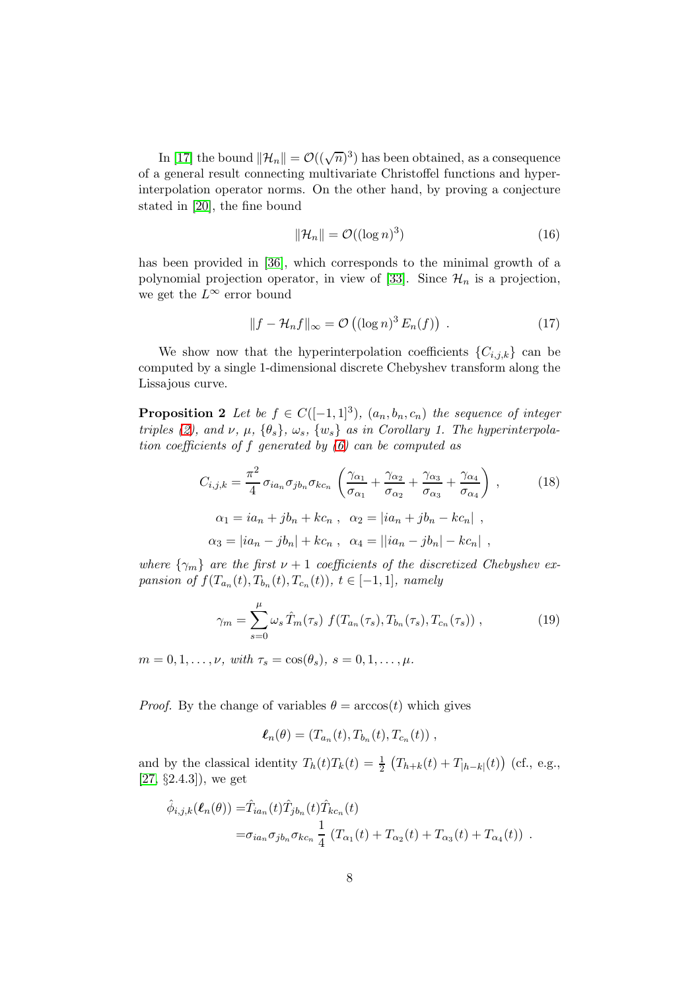In [\[17\]](#page-19-5) the bound  $||\mathcal{H}_n|| = \mathcal{O}((\sqrt{n})^3)$  has been obtained, as a consequence of a general result connecting multivariate Christoffel functions and hyperinterpolation operator norms. On the other hand, by proving a conjecture stated in [\[20\]](#page-19-6), the fine bound

<span id="page-7-1"></span>
$$
\|\mathcal{H}_n\| = \mathcal{O}((\log n)^3)
$$
 (16)

has been provided in [\[36\]](#page-20-2), which corresponds to the minimal growth of a polynomial projection operator, in view of [\[33\]](#page-20-3). Since  $\mathcal{H}_n$  is a projection, we get the  $L^{\infty}$  error bound

$$
||f - \mathcal{H}_n f||_{\infty} = \mathcal{O}\left((\log n)^3 E_n(f)\right) . \tag{17}
$$

We show now that the hyperinterpolation coefficients  $\{C_{i,j,k}\}\)$  can be computed by a single 1-dimensional discrete Chebyshev transform along the Lissajous curve.

**Proposition 2** Let be  $f \in C([-1,1]^3)$ ,  $(a_n, b_n, c_n)$  the sequence of integer triples [\(2\)](#page-1-0), and  $\nu$ ,  $\mu$ ,  $\{\theta_s\}$ ,  $\omega_s$ ,  $\{w_s\}$  as in Corollary 1. The hyperinterpolation coefficients of f generated by [\(6\)](#page-2-2) can be computed as

<span id="page-7-0"></span>
$$
C_{i,j,k} = \frac{\pi^2}{4} \sigma_{ia_n} \sigma_{jb_n} \sigma_{kc_n} \left( \frac{\gamma_{\alpha_1}}{\sigma_{\alpha_1}} + \frac{\gamma_{\alpha_2}}{\sigma_{\alpha_2}} + \frac{\gamma_{\alpha_3}}{\sigma_{\alpha_3}} + \frac{\gamma_{\alpha_4}}{\sigma_{\alpha_4}} \right),
$$
\n
$$
\alpha_1 = ia_n + jb_n + kc_n, \quad \alpha_2 = |ia_n + jb_n - kc_n|,
$$
\n
$$
\alpha_3 = |ia_n - jb_n| + kc_n, \quad \alpha_4 = ||ia_n - jb_n| - kc_n|,
$$
\n(18)

where  $\{\gamma_m\}$  are the first  $\nu + 1$  coefficients of the discretized Chebyshev expansion of  $f(T_{a_n}(t), T_{b_n}(t), T_{c_n}(t))$ ,  $t \in [-1,1]$ , namely

<span id="page-7-2"></span>
$$
\gamma_m = \sum_{s=0}^{\mu} \omega_s \hat{T}_m(\tau_s) f(T_{a_n}(\tau_s), T_{b_n}(\tau_s), T_{c_n}(\tau_s)) ,
$$
 (19)

 $m = 0, 1, \ldots, \nu, \text{ with } \tau_s = \cos(\theta_s), \ s = 0, 1, \ldots, \mu.$ 

*Proof.* By the change of variables  $\theta = \arccos(t)$  which gives

$$
\ell_n(\theta) = (T_{a_n}(t), T_{b_n}(t), T_{c_n}(t)),
$$

and by the classical identity  $T_h(t)T_k(t) = \frac{1}{2} \left( T_{h+k}(t) + T_{|h-k|}(t) \right)$  (cf., e.g.,  $[27, §2.4.3]$  $[27, §2.4.3]$ , we get

$$
\hat{\phi}_{i,j,k}(\boldsymbol{\ell}_n(\theta)) = \hat{T}_{ia_n}(t)\hat{T}_{jb_n}(t)\hat{T}_{kc_n}(t)
$$
  

$$
= \sigma_{ia_n}\sigma_{jb_n}\sigma_{kc_n}\frac{1}{4}\left(T_{\alpha_1}(t) + T_{\alpha_2}(t) + T_{\alpha_3}(t) + T_{\alpha_4}(t)\right).
$$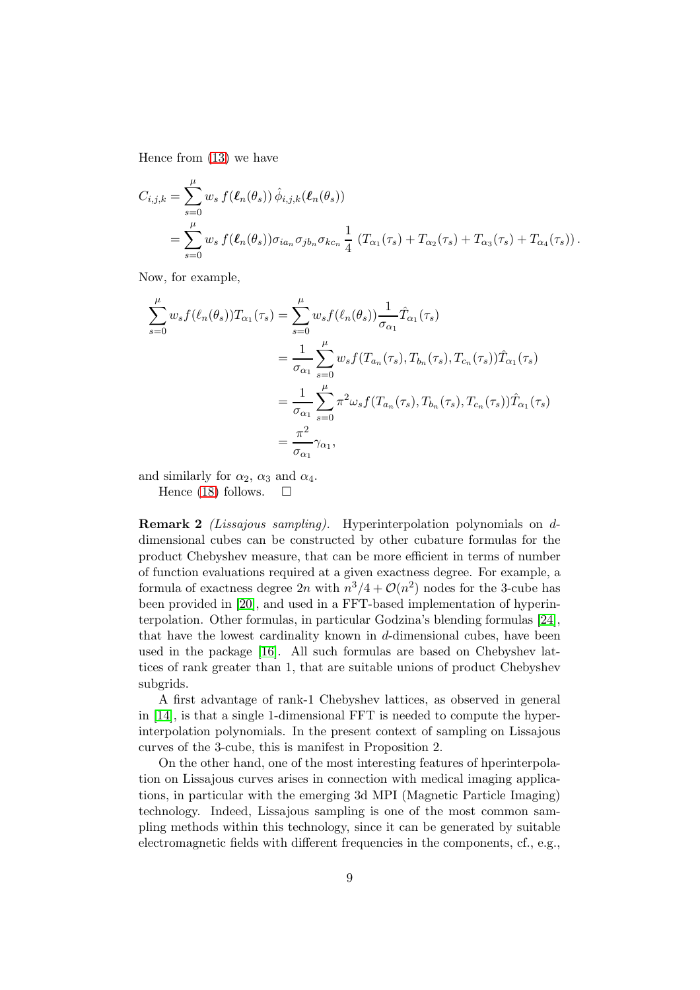Hence from [\(13\)](#page-6-0) we have

$$
C_{i,j,k} = \sum_{s=0}^{\mu} w_s f(\ell_n(\theta_s)) \hat{\phi}_{i,j,k}(\ell_n(\theta_s))
$$
  
= 
$$
\sum_{s=0}^{\mu} w_s f(\ell_n(\theta_s)) \sigma_{ia_n} \sigma_{jb_n} \sigma_{kc_n} \frac{1}{4} (T_{\alpha_1}(\tau_s) + T_{\alpha_2}(\tau_s) + T_{\alpha_3}(\tau_s) + T_{\alpha_4}(\tau_s)).
$$

Now, for example,

$$
\sum_{s=0}^{\mu} w_s f(\ell_n(\theta_s)) T_{\alpha_1}(\tau_s) = \sum_{s=0}^{\mu} w_s f(\ell_n(\theta_s)) \frac{1}{\sigma_{\alpha_1}} \hat{T}_{\alpha_1}(\tau_s)
$$
  
= 
$$
\frac{1}{\sigma_{\alpha_1}} \sum_{s=0}^{\mu} w_s f(T_{a_n}(\tau_s), T_{b_n}(\tau_s), T_{c_n}(\tau_s)) \hat{T}_{\alpha_1}(\tau_s)
$$
  
= 
$$
\frac{1}{\sigma_{\alpha_1}} \sum_{s=0}^{\mu} \pi^2 \omega_s f(T_{a_n}(\tau_s), T_{b_n}(\tau_s), T_{c_n}(\tau_s)) \hat{T}_{\alpha_1}(\tau_s)
$$
  
= 
$$
\frac{\pi^2}{\sigma_{\alpha_1}} \gamma_{\alpha_1},
$$

and similarly for  $\alpha_2$ ,  $\alpha_3$  and  $\alpha_4$ .

Hence [\(18\)](#page-7-0) follows.  $\square$ 

Remark 2 (Lissajous sampling). Hyperinterpolation polynomials on ddimensional cubes can be constructed by other cubature formulas for the product Chebyshev measure, that can be more efficient in terms of number of function evaluations required at a given exactness degree. For example, a formula of exactness degree  $2n$  with  $n^3/4 + \mathcal{O}(n^2)$  nodes for the 3-cube has been provided in [\[20\]](#page-19-6), and used in a FFT-based implementation of hyperinterpolation. Other formulas, in particular Godzina's blending formulas [\[24\]](#page-19-7), that have the lowest cardinality known in d-dimensional cubes, have been used in the package [\[16\]](#page-19-8). All such formulas are based on Chebyshev lattices of rank greater than 1, that are suitable unions of product Chebyshev subgrids.

A first advantage of rank-1 Chebyshev lattices, as observed in general in  $[14]$ , is that a single 1-dimensional FFT is needed to compute the hyperinterpolation polynomials. In the present context of sampling on Lissajous curves of the 3-cube, this is manifest in Proposition 2.

On the other hand, one of the most interesting features of hperinterpolation on Lissajous curves arises in connection with medical imaging applications, in particular with the emerging 3d MPI (Magnetic Particle Imaging) technology. Indeed, Lissajous sampling is one of the most common sampling methods within this technology, since it can be generated by suitable electromagnetic fields with different frequencies in the components, cf., e.g.,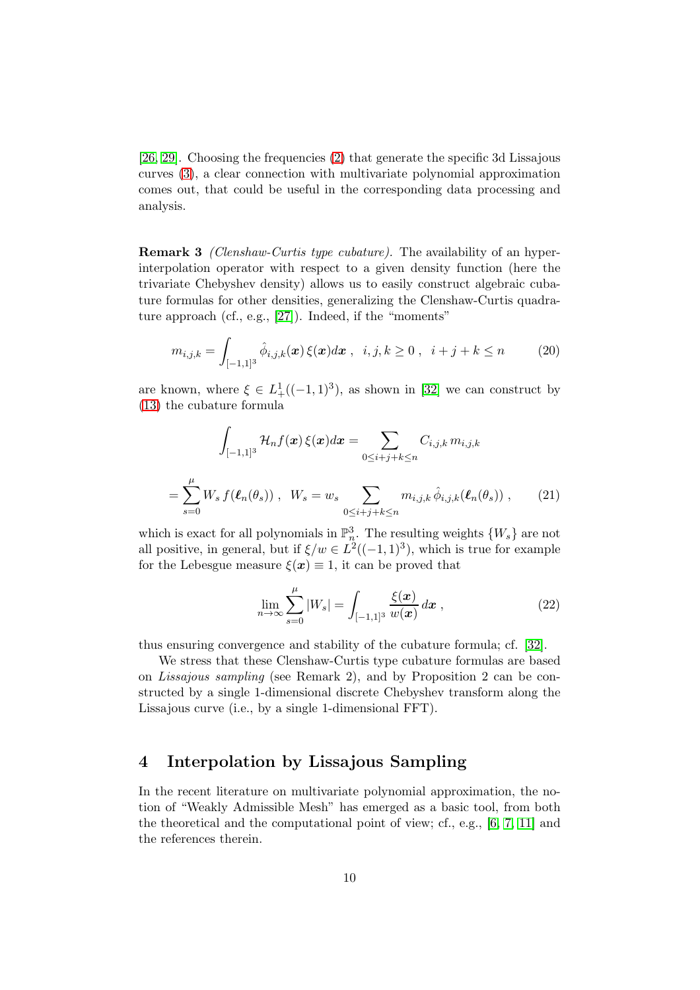[\[26,](#page-19-1) [29\]](#page-20-4). Choosing the frequencies [\(2\)](#page-1-0) that generate the specific 3d Lissajous curves [\(3\)](#page-2-1), a clear connection with multivariate polynomial approximation comes out, that could be useful in the corresponding data processing and analysis.

Remark 3 (Clenshaw-Curtis type cubature). The availability of an hyperinterpolation operator with respect to a given density function (here the trivariate Chebyshev density) allows us to easily construct algebraic cubature formulas for other densities, generalizing the Clenshaw-Curtis quadrature approach (cf., e.g., [\[27\]](#page-19-2)). Indeed, if the "moments"

$$
m_{i,j,k} = \int_{[-1,1]^3} \hat{\phi}_{i,j,k}(x) \, \xi(x) dx \;, \;\; i, j, k \ge 0 \;, \;\; i+j+k \le n \qquad (20)
$$

are known, where  $\xi \in L^1_+((-1,1)^3)$ , as shown in [\[32\]](#page-20-5) we can construct by [\(13\)](#page-6-0) the cubature formula

$$
\int_{[-1,1]^3} \mathcal{H}_n f(\mathbf{x}) \, \xi(\mathbf{x}) d\mathbf{x} = \sum_{0 \le i+j+k \le n} C_{i,j,k} \, m_{i,j,k}
$$
\n
$$
= \sum_{s=0}^{\mu} W_s \, f(\ell_n(\theta_s)) \, , \quad W_s = w_s \sum_{0 \le i+j+k \le n} m_{i,j,k} \, \hat{\phi}_{i,j,k}(\ell_n(\theta_s)) \, , \tag{21}
$$

which is exact for all polynomials in  $\mathbb{P}_n^3$ . The resulting weights  $\{W_s\}$  are not all positive, in general, but if  $\xi/w \in L^2((-1,1)^3)$ , which is true for example for the Lebesgue measure  $\xi(x) \equiv 1$ , it can be proved that

$$
\lim_{n \to \infty} \sum_{s=0}^{\mu} |W_s| = \int_{[-1,1]^3} \frac{\xi(x)}{w(x)} dx , \qquad (22)
$$

thus ensuring convergence and stability of the cubature formula; cf. [\[32\]](#page-20-5).

We stress that these Clenshaw-Curtis type cubature formulas are based on Lissajous sampling (see Remark 2), and by Proposition 2 can be constructed by a single 1-dimensional discrete Chebyshev transform along the Lissajous curve (i.e., by a single 1-dimensional FFT).

# 4 Interpolation by Lissajous Sampling

In the recent literature on multivariate polynomial approximation, the notion of "Weakly Admissible Mesh" has emerged as a basic tool, from both the theoretical and the computational point of view; cf., e.g., [\[6,](#page-18-6) [7,](#page-18-5) [11\]](#page-18-8) and the references therein.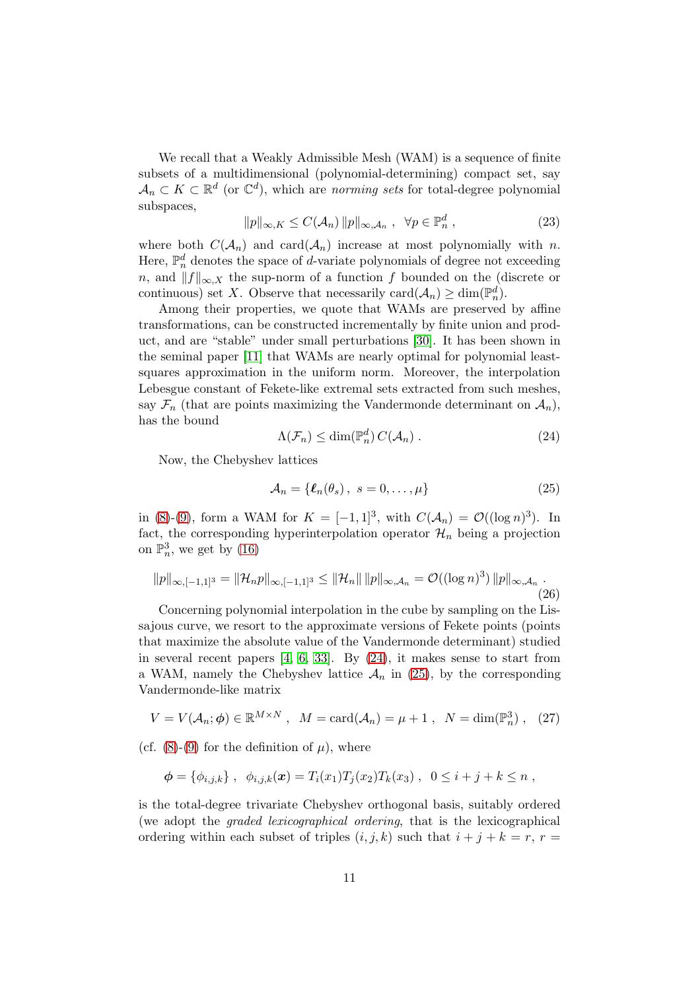We recall that a Weakly Admissible Mesh (WAM) is a sequence of finite subsets of a multidimensional (polynomial-determining) compact set, say  $A_n \subset K \subset \mathbb{R}^d$  (or  $\mathbb{C}^d$ ), which are *norming sets* for total-degree polynomial subspaces,

$$
||p||_{\infty,K} \leq C(\mathcal{A}_n) ||p||_{\infty,\mathcal{A}_n}, \quad \forall p \in \mathbb{P}_n^d \,, \tag{23}
$$

where both  $C(\mathcal{A}_n)$  and card $(\mathcal{A}_n)$  increase at most polynomially with n. Here,  $\mathbb{P}_n^d$  denotes the space of *d*-variate polynomials of degree not exceeding n, and  $||f||_{\infty, X}$  the sup-norm of a function f bounded on the (discrete or continuous) set X. Observe that necessarily  $card(\mathcal{A}_n) \geq dim(\mathbb{P}_n^d)$ .

Among their properties, we quote that WAMs are preserved by affine transformations, can be constructed incrementally by finite union and product, and are "stable" under small perturbations [\[30\]](#page-20-6). It has been shown in the seminal paper [\[11\]](#page-18-8) that WAMs are nearly optimal for polynomial leastsquares approximation in the uniform norm. Moreover, the interpolation Lebesgue constant of Fekete-like extremal sets extracted from such meshes, say  $\mathcal{F}_n$  (that are points maximizing the Vandermonde determinant on  $\mathcal{A}_n$ ), has the bound

<span id="page-10-0"></span>
$$
\Lambda(\mathcal{F}_n) \le \dim(\mathbb{P}_n^d) C(\mathcal{A}_n) . \tag{24}
$$

Now, the Chebyshev lattices

<span id="page-10-1"></span>
$$
\mathcal{A}_n = \{ \ell_n(\theta_s), \ s = 0, \dots, \mu \}
$$
 (25)

in [\(8\)](#page-3-0)-[\(9\)](#page-3-1), form a WAM for  $K = [-1,1]^3$ , with  $C(\mathcal{A}_n) = \mathcal{O}((\log n)^3)$ . In fact, the corresponding hyperinterpolation operator  $\mathcal{H}_n$  being a projection on  $\mathbb{P}^3_n$ , we get by [\(16\)](#page-7-1)

$$
||p||_{\infty, [-1,1]^3} = ||\mathcal{H}_n p||_{\infty, [-1,1]^3} \le ||\mathcal{H}_n|| \, ||p||_{\infty, \mathcal{A}_n} = \mathcal{O}((\log n)^3) \, ||p||_{\infty, \mathcal{A}_n} \, .
$$
\n(26)

Concerning polynomial interpolation in the cube by sampling on the Lissajous curve, we resort to the approximate versions of Fekete points (points that maximize the absolute value of the Vandermonde determinant) studied in several recent papers  $[4, 6, 33]$  $[4, 6, 33]$  $[4, 6, 33]$ . By  $(24)$ , it makes sense to start from a WAM, namely the Chebyshev lattice  $\mathcal{A}_n$  in [\(25\)](#page-10-1), by the corresponding Vandermonde-like matrix

$$
V = V(\mathcal{A}_n; \phi) \in \mathbb{R}^{M \times N}, \quad M = \text{card}(\mathcal{A}_n) = \mu + 1, \quad N = \text{dim}(\mathbb{P}_n^3), \quad (27)
$$

(cf.  $(8)-(9)$  $(8)-(9)$  for the definition of  $\mu$ ), where

$$
\phi = \{\phi_{i,j,k}\}, \ \ \phi_{i,j,k}(x) = T_i(x_1)T_j(x_2)T_k(x_3) , \ \ 0 \leq i+j+k \leq n ,
$$

is the total-degree trivariate Chebyshev orthogonal basis, suitably ordered (we adopt the graded lexicographical ordering, that is the lexicographical ordering within each subset of triples  $(i, j, k)$  such that  $i + j + k = r$ ,  $r =$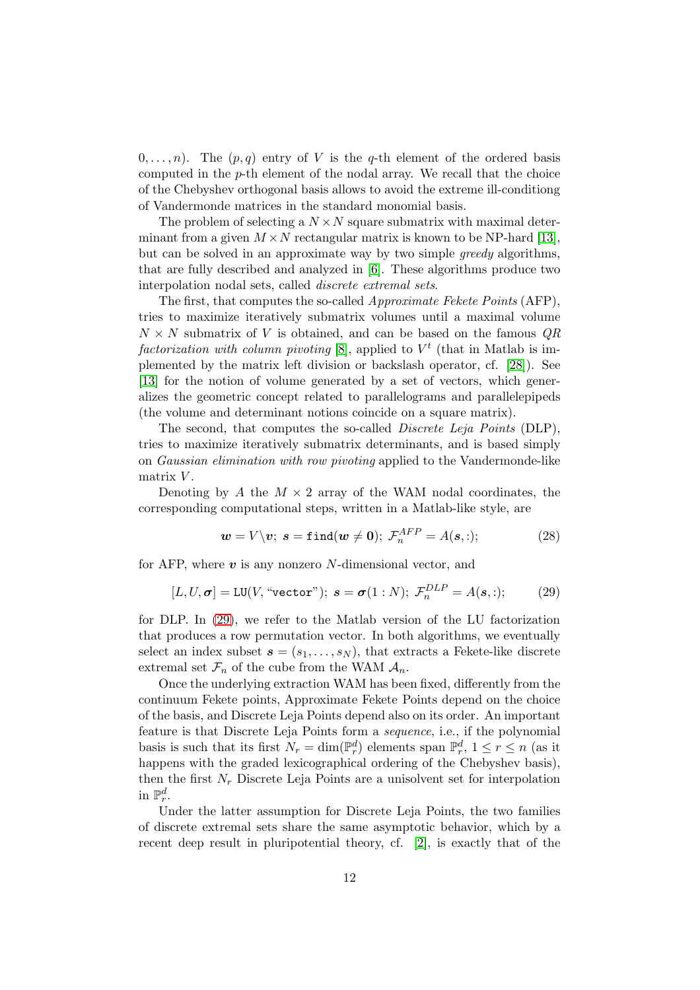$(0, \ldots, n)$ . The  $(p, q)$  entry of V is the q-th element of the ordered basis computed in the p-th element of the nodal array. We recall that the choice of the Chebyshev orthogonal basis allows to avoid the extreme ill-conditiong of Vandermonde matrices in the standard monomial basis.

The problem of selecting a  $N \times N$  square submatrix with maximal determinant from a given  $M \times N$  rectangular matrix is known to be NP-hard [\[13\]](#page-18-10), but can be solved in an approximate way by two simple greedy algorithms, that are fully described and analyzed in [\[6\]](#page-18-6). These algorithms produce two interpolation nodal sets, called discrete extremal sets.

The first, that computes the so-called *Approximate Fekete Points* (AFP), tries to maximize iteratively submatrix volumes until a maximal volume  $N \times N$  submatrix of V is obtained, and can be based on the famous  $QR$ factorization with column pivoting  $[8]$ , applied to  $V<sup>t</sup>$  (that in Matlab is implemented by the matrix left division or backslash operator, cf. [\[28\]](#page-19-9)). See [\[13\]](#page-18-10) for the notion of volume generated by a set of vectors, which generalizes the geometric concept related to parallelograms and parallelepipeds (the volume and determinant notions coincide on a square matrix).

The second, that computes the so-called *Discrete Leja Points* (DLP), tries to maximize iteratively submatrix determinants, and is based simply on Gaussian elimination with row pivoting applied to the Vandermonde-like matrix  $V$ .

Denoting by A the  $M \times 2$  array of the WAM nodal coordinates, the corresponding computational steps, written in a Matlab-like style, are

$$
\mathbf{w} = V \backslash \mathbf{v}; \ \mathbf{s} = \mathtt{find}(\mathbf{w} \neq \mathbf{0}); \ \mathcal{F}_n^{AFP} = A(\mathbf{s}, :); \tag{28}
$$

for AFP, where  $v$  is any nonzero N-dimensional vector, and

<span id="page-11-0"></span>
$$
[L, U, \sigma] = \text{LU}(V, \text{``vector''}); \ s = \sigma(1:N); \ \mathcal{F}_n^{DLP} = A(s,:); \tag{29}
$$

for DLP. In [\(29\)](#page-11-0), we refer to the Matlab version of the LU factorization that produces a row permutation vector. In both algorithms, we eventually select an index subset  $s = (s_1, \ldots, s_N)$ , that extracts a Fekete-like discrete extremal set  $\mathcal{F}_n$  of the cube from the WAM  $\mathcal{A}_n$ .

Once the underlying extraction WAM has been fixed, differently from the continuum Fekete points, Approximate Fekete Points depend on the choice of the basis, and Discrete Leja Points depend also on its order. An important feature is that Discrete Leja Points form a sequence, i.e., if the polynomial basis is such that its first  $N_r = \dim(\mathbb{P}_r^d)$  elements span  $\mathbb{P}_r^d$ ,  $1 \le r \le n$  (as it happens with the graded lexicographical ordering of the Chebyshev basis), then the first  $N_r$  Discrete Leja Points are a unisolvent set for interpolation in  $\mathbb{P}^d_r$ .

Under the latter assumption for Discrete Leja Points, the two families of discrete extremal sets share the same asymptotic behavior, which by a recent deep result in pluripotential theory, cf. [\[2\]](#page-17-0), is exactly that of the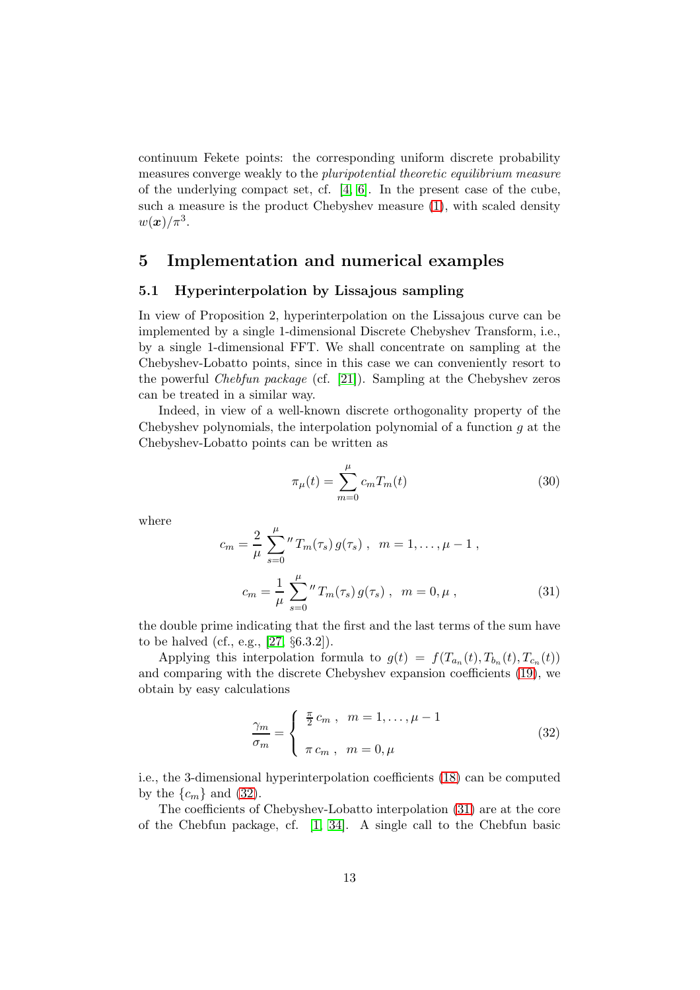continuum Fekete points: the corresponding uniform discrete probability measures converge weakly to the pluripotential theoretic equilibrium measure of the underlying compact set, cf. [\[4,](#page-18-9) [6\]](#page-18-6). In the present case of the cube, such a measure is the product Chebyshev measure [\(1\)](#page-1-1), with scaled density  $w(\boldsymbol{x})/\pi^3$ .

### 5 Implementation and numerical examples

#### 5.1 Hyperinterpolation by Lissajous sampling

In view of Proposition 2, hyperinterpolation on the Lissajous curve can be implemented by a single 1-dimensional Discrete Chebyshev Transform, i.e., by a single 1-dimensional FFT. We shall concentrate on sampling at the Chebyshev-Lobatto points, since in this case we can conveniently resort to the powerful Chebfun package (cf. [\[21\]](#page-19-10)). Sampling at the Chebyshev zeros can be treated in a similar way.

Indeed, in view of a well-known discrete orthogonality property of the Chebyshev polynomials, the interpolation polynomial of a function  $q$  at the Chebyshev-Lobatto points can be written as

$$
\pi_{\mu}(t) = \sum_{m=0}^{\mu} c_m T_m(t)
$$
\n(30)

where

<span id="page-12-1"></span>
$$
c_m = \frac{2}{\mu} \sum_{s=0}^{\mu} {T_m(\tau_s) g(\tau_s) , m = 1, ..., \mu - 1 ,}
$$
  

$$
c_m = \frac{1}{\mu} \sum_{s=0}^{\mu} {T_m(\tau_s) g(\tau_s) , m = 0, \mu ,}
$$
 (31)

the double prime indicating that the first and the last terms of the sum have to be halved (cf., e.g., [\[27,](#page-19-2) §6.3.2]).

Applying this interpolation formula to  $g(t) = f(T_{a_n}(t), T_{b_n}(t), T_{c_n}(t))$ and comparing with the discrete Chebyshev expansion coefficients [\(19\)](#page-7-2), we obtain by easy calculations

<span id="page-12-0"></span>
$$
\frac{\gamma_m}{\sigma_m} = \begin{cases} \frac{\pi}{2} c_m , & m = 1, \dots, \mu - 1 \\ \pi c_m , & m = 0, \mu \end{cases}
$$
\n(32)

i.e., the 3-dimensional hyperinterpolation coefficients [\(18\)](#page-7-0) can be computed by the  $\{c_m\}$  and [\(32\)](#page-12-0).

The coefficients of Chebyshev-Lobatto interpolation [\(31\)](#page-12-1) are at the core of the Chebfun package, cf. [\[1,](#page-17-1) [34\]](#page-20-7). A single call to the Chebfun basic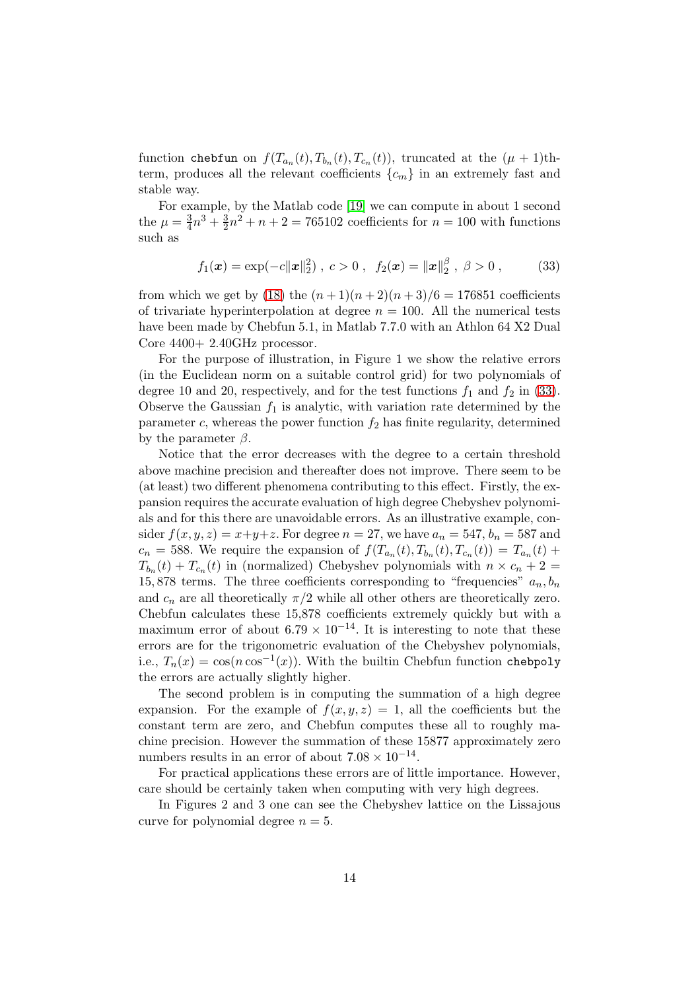function chebfun on  $f(T_{a_n}(t), T_{b_n}(t), T_{c_n}(t))$ , truncated at the  $(\mu + 1)$ thterm, produces all the relevant coefficients  $\{c_m\}$  in an extremely fast and stable way.

For example, by the Matlab code [\[19\]](#page-19-11) we can compute in about 1 second the  $\mu = \frac{3}{4}$  $\frac{3}{4}n^3 + \frac{3}{2}$  $\frac{3}{2}n^2 + n + 2 = 765102$  coefficients for  $n = 100$  with functions such as

<span id="page-13-0"></span>
$$
f_1(\boldsymbol{x}) = \exp(-c||\boldsymbol{x}||_2^2), c > 0, f_2(\boldsymbol{x}) = ||\boldsymbol{x}||_2^{\beta}, \beta > 0,
$$
 (33)

from which we get by [\(18\)](#page-7-0) the  $(n + 1)(n + 2)(n + 3)/6 = 176851$  coefficients of trivariate hyperinterpolation at degree  $n = 100$ . All the numerical tests have been made by Chebfun 5.1, in Matlab 7.7.0 with an Athlon 64 X2 Dual Core 4400+ 2.40GHz processor.

For the purpose of illustration, in Figure 1 we show the relative errors (in the Euclidean norm on a suitable control grid) for two polynomials of degree 10 and 20, respectively, and for the test functions  $f_1$  and  $f_2$  in [\(33\)](#page-13-0). Observe the Gaussian  $f_1$  is analytic, with variation rate determined by the parameter c, whereas the power function  $f_2$  has finite regularity, determined by the parameter  $\beta$ .

Notice that the error decreases with the degree to a certain threshold above machine precision and thereafter does not improve. There seem to be (at least) two different phenomena contributing to this effect. Firstly, the expansion requires the accurate evaluation of high degree Chebyshev polynomials and for this there are unavoidable errors. As an illustrative example, consider  $f(x, y, z) = x+y+z$ . For degree  $n = 27$ , we have  $a_n = 547$ ,  $b_n = 587$  and  $c_n = 588$ . We require the expansion of  $f(T_{a_n}(t), T_{b_n}(t), T_{c_n}(t)) = T_{a_n}(t) +$  $T_{b_n}(t) + T_{c_n}(t)$  in (normalized) Chebyshev polynomials with  $n \times c_n + 2 =$ 15,878 terms. The three coefficients corresponding to "frequencies"  $a_n, b_n$ and  $c_n$  are all theoretically  $\pi/2$  while all other others are theoretically zero. Chebfun calculates these 15,878 coefficients extremely quickly but with a maximum error of about  $6.79 \times 10^{-14}$ . It is interesting to note that these errors are for the trigonometric evaluation of the Chebyshev polynomials, i.e.,  $T_n(x) = \cos(n \cos^{-1}(x))$ . With the builtin Chebfun function chebpoly the errors are actually slightly higher.

The second problem is in computing the summation of a high degree expansion. For the example of  $f(x, y, z) = 1$ , all the coefficients but the constant term are zero, and Chebfun computes these all to roughly machine precision. However the summation of these 15877 approximately zero numbers results in an error of about  $7.08 \times 10^{-14}$ .

For practical applications these errors are of little importance. However, care should be certainly taken when computing with very high degrees.

In Figures 2 and 3 one can see the Chebyshev lattice on the Lissajous curve for polynomial degree  $n = 5$ .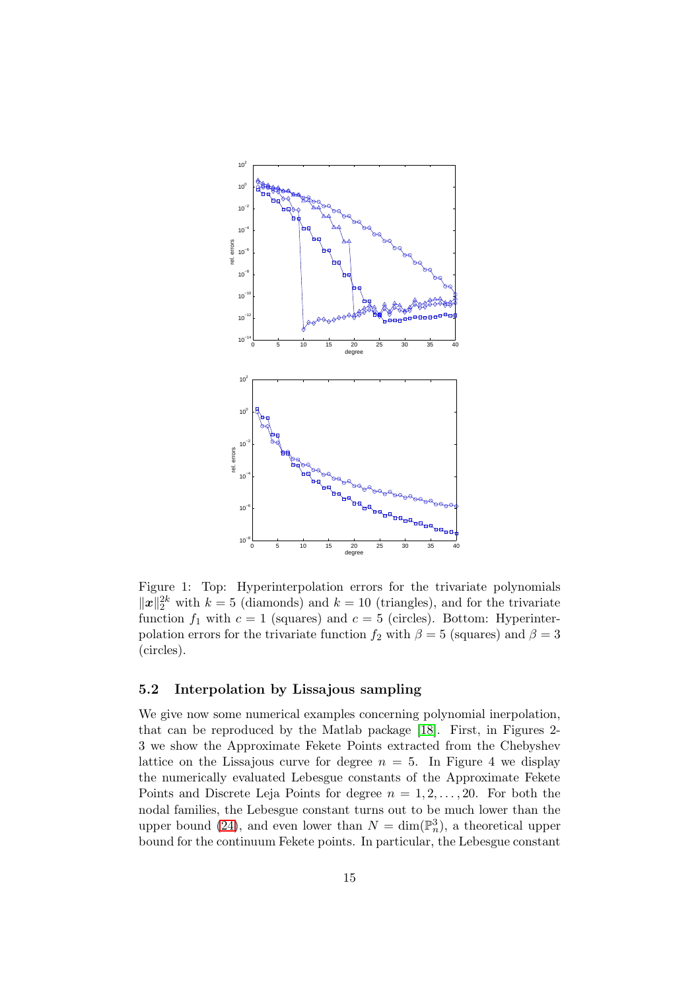

Figure 1: Top: Hyperinterpolation errors for the trivariate polynomials  $||x||_2^{2k}$  with  $k = 5$  (diamonds) and  $k = 10$  (triangles), and for the trivariate function  $f_1$  with  $c = 1$  (squares) and  $c = 5$  (circles). Bottom: Hyperinterpolation errors for the trivariate function  $f_2$  with  $\beta = 5$  (squares) and  $\beta = 3$ (circles).

#### 5.2 Interpolation by Lissajous sampling

We give now some numerical examples concerning polynomial inerpolation, that can be reproduced by the Matlab package [\[18\]](#page-19-12). First, in Figures 2- 3 we show the Approximate Fekete Points extracted from the Chebyshev lattice on the Lissajous curve for degree  $n = 5$ . In Figure 4 we display the numerically evaluated Lebesgue constants of the Approximate Fekete Points and Discrete Leja Points for degree  $n = 1, 2, \ldots, 20$ . For both the nodal families, the Lebesgue constant turns out to be much lower than the upper bound [\(24\)](#page-10-0), and even lower than  $N = \dim(\mathbb{P}_n^3)$ , a theoretical upper bound for the continuum Fekete points. In particular, the Lebesgue constant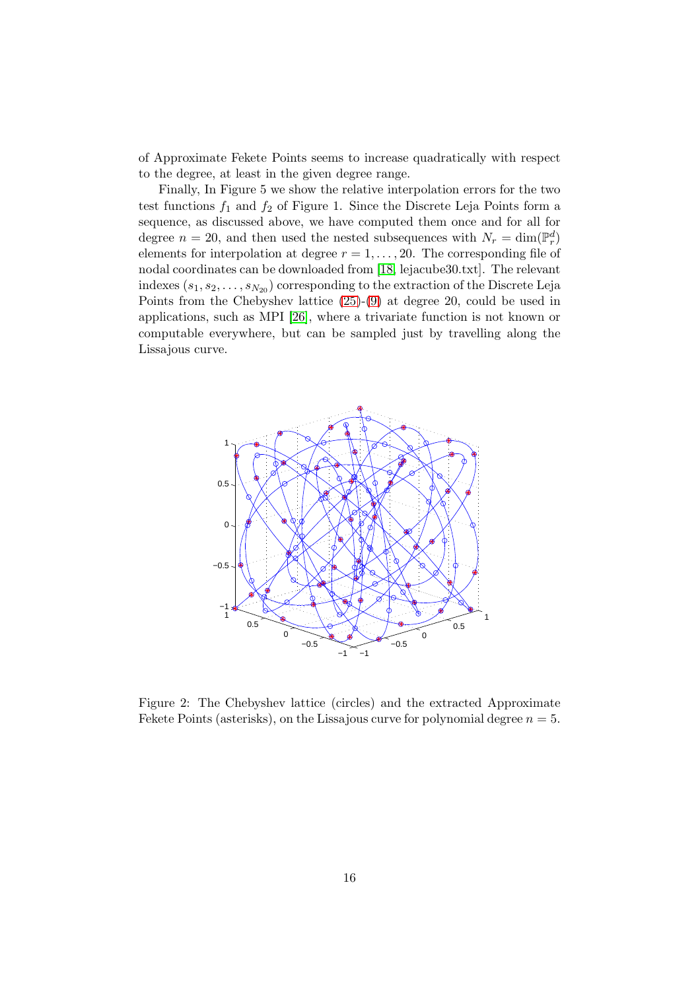of Approximate Fekete Points seems to increase quadratically with respect to the degree, at least in the given degree range.

Finally, In Figure 5 we show the relative interpolation errors for the two test functions  $f_1$  and  $f_2$  of Figure 1. Since the Discrete Leja Points form a sequence, as discussed above, we have computed them once and for all for degree  $n = 20$ , and then used the nested subsequences with  $N_r = \dim(\mathbb{P}_r^d)$ elements for interpolation at degree  $r = 1, \ldots, 20$ . The corresponding file of nodal coordinates can be downloaded from [\[18,](#page-19-12) lejacube30.txt]. The relevant indexes  $(s_1, s_2, \ldots, s_{N_{20}})$  corresponding to the extraction of the Discrete Leja Points from the Chebyshev lattice [\(25\)](#page-10-1)-[\(9\)](#page-3-1) at degree 20, could be used in applications, such as MPI [\[26\]](#page-19-1), where a trivariate function is not known or computable everywhere, but can be sampled just by travelling along the Lissajous curve.



Figure 2: The Chebyshev lattice (circles) and the extracted Approximate Fekete Points (asterisks), on the Lissajous curve for polynomial degree  $n = 5$ .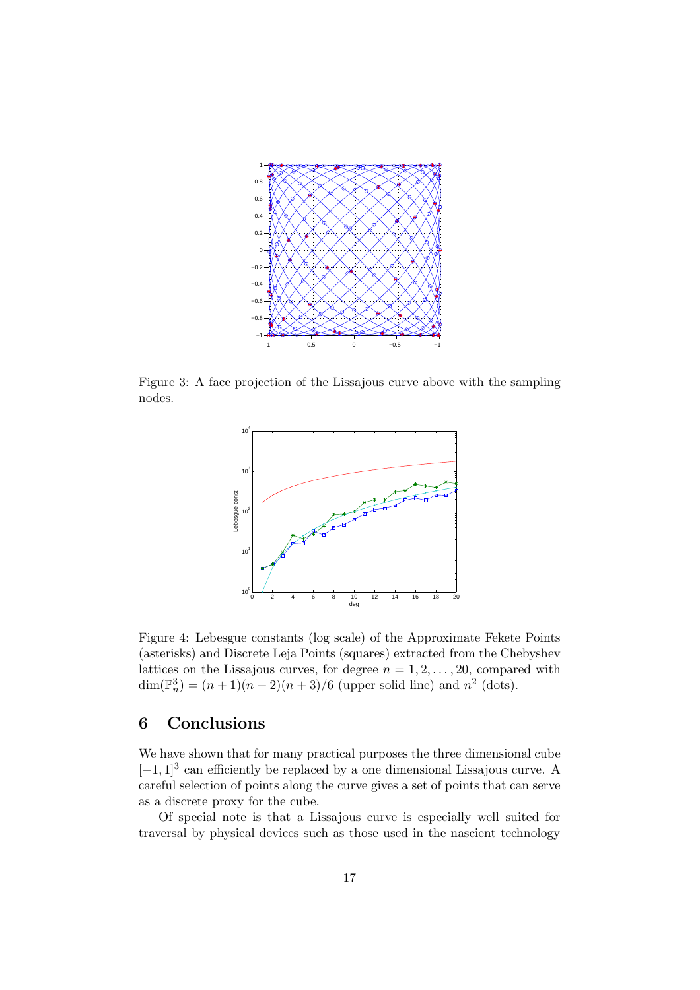

Figure 3: A face projection of the Lissajous curve above with the sampling nodes.



Figure 4: Lebesgue constants (log scale) of the Approximate Fekete Points (asterisks) and Discrete Leja Points (squares) extracted from the Chebyshev lattices on the Lissajous curves, for degree  $n = 1, 2, \ldots, 20$ , compared with  $\dim(\mathbb{P}_n^3) = (n+1)(n+2)(n+3)/6$  (upper solid line) and  $n^2$  (dots).

# 6 Conclusions

We have shown that for many practical purposes the three dimensional cube  $[-1, 1]^3$  can efficiently be replaced by a one dimensional Lissajous curve. A careful selection of points along the curve gives a set of points that can serve as a discrete proxy for the cube.

Of special note is that a Lissajous curve is especially well suited for traversal by physical devices such as those used in the nascient technology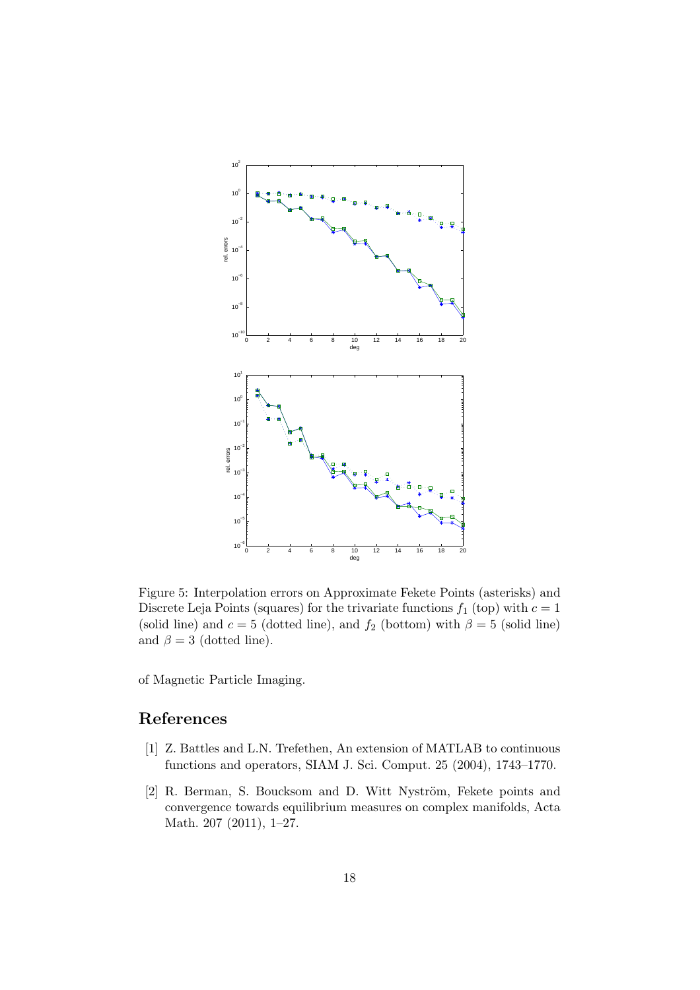

Figure 5: Interpolation errors on Approximate Fekete Points (asterisks) and Discrete Leja Points (squares) for the trivariate functions  $f_1$  (top) with  $c = 1$ (solid line) and  $c = 5$  (dotted line), and  $f_2$  (bottom) with  $\beta = 5$  (solid line) and  $\beta = 3$  (dotted line).

of Magnetic Particle Imaging.

# <span id="page-17-1"></span>References

- [1] Z. Battles and L.N. Trefethen, An extension of MATLAB to continuous functions and operators, SIAM J. Sci. Comput. 25 (2004), 1743–1770.
- <span id="page-17-0"></span>[2] R. Berman, S. Boucksom and D. Witt Nyström, Fekete points and convergence towards equilibrium measures on complex manifolds, Acta Math. 207 (2011), 1–27.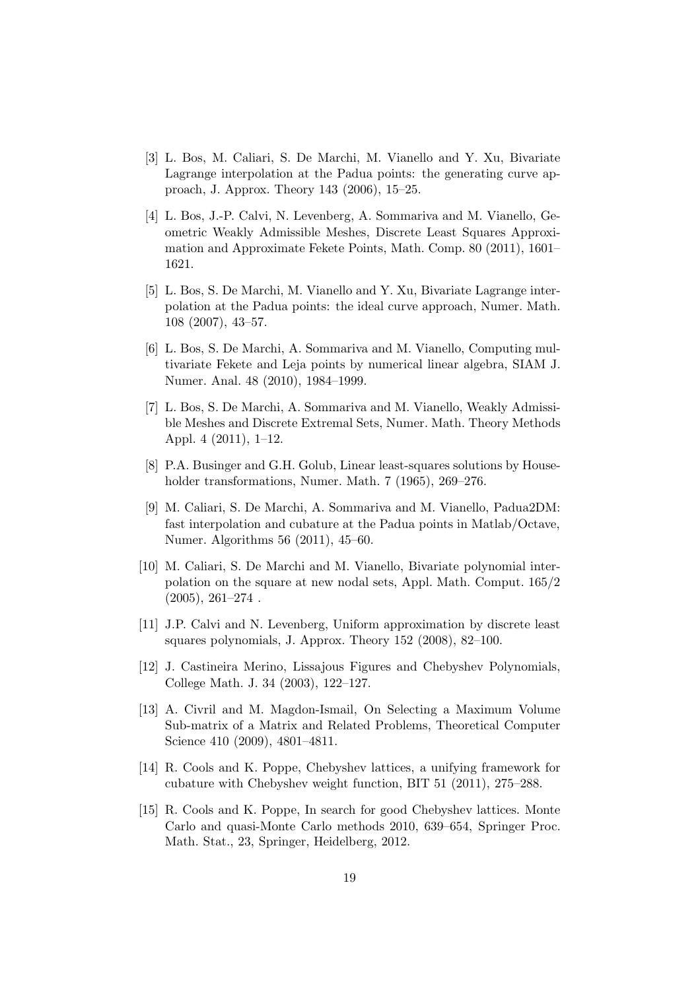- <span id="page-18-0"></span>[3] L. Bos, M. Caliari, S. De Marchi, M. Vianello and Y. Xu, Bivariate Lagrange interpolation at the Padua points: the generating curve approach, J. Approx. Theory 143 (2006), 15–25.
- <span id="page-18-9"></span>[4] L. Bos, J.-P. Calvi, N. Levenberg, A. Sommariva and M. Vianello, Geometric Weakly Admissible Meshes, Discrete Least Squares Approximation and Approximate Fekete Points, Math. Comp. 80 (2011), 1601– 1621.
- <span id="page-18-1"></span>[5] L. Bos, S. De Marchi, M. Vianello and Y. Xu, Bivariate Lagrange interpolation at the Padua points: the ideal curve approach, Numer. Math. 108 (2007), 43–57.
- <span id="page-18-6"></span>[6] L. Bos, S. De Marchi, A. Sommariva and M. Vianello, Computing multivariate Fekete and Leja points by numerical linear algebra, SIAM J. Numer. Anal. 48 (2010), 1984–1999.
- <span id="page-18-5"></span>[7] L. Bos, S. De Marchi, A. Sommariva and M. Vianello, Weakly Admissible Meshes and Discrete Extremal Sets, Numer. Math. Theory Methods Appl. 4 (2011), 1–12.
- <span id="page-18-11"></span><span id="page-18-2"></span>[8] P.A. Businger and G.H. Golub, Linear least-squares solutions by Householder transformations, Numer. Math. 7 (1965), 269–276.
- [9] M. Caliari, S. De Marchi, A. Sommariva and M. Vianello, Padua2DM: fast interpolation and cubature at the Padua points in Matlab/Octave, Numer. Algorithms 56 (2011), 45–60.
- <span id="page-18-3"></span>[10] M. Caliari, S. De Marchi and M. Vianello, Bivariate polynomial interpolation on the square at new nodal sets, Appl. Math. Comput. 165/2  $(2005), 261-274$ .
- <span id="page-18-8"></span>[11] J.P. Calvi and N. Levenberg, Uniform approximation by discrete least squares polynomials, J. Approx. Theory 152 (2008), 82–100.
- [12] J. Castineira Merino, Lissajous Figures and Chebyshev Polynomials, College Math. J. 34 (2003), 122–127.
- <span id="page-18-10"></span>[13] A. Civril and M. Magdon-Ismail, On Selecting a Maximum Volume Sub-matrix of a Matrix and Related Problems, Theoretical Computer Science 410 (2009), 4801–4811.
- <span id="page-18-4"></span>[14] R. Cools and K. Poppe, Chebyshev lattices, a unifying framework for cubature with Chebyshev weight function, BIT 51 (2011), 275–288.
- <span id="page-18-7"></span>[15] R. Cools and K. Poppe, In search for good Chebyshev lattices. Monte Carlo and quasi-Monte Carlo methods 2010, 639–654, Springer Proc. Math. Stat., 23, Springer, Heidelberg, 2012.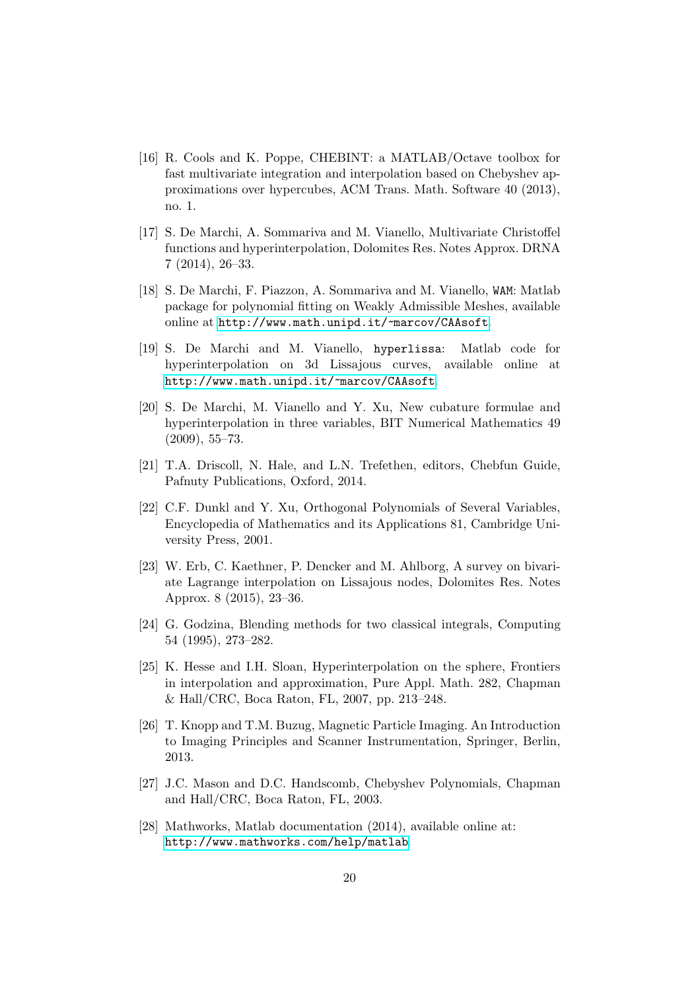- <span id="page-19-8"></span>[16] R. Cools and K. Poppe, CHEBINT: a MATLAB/Octave toolbox for fast multivariate integration and interpolation based on Chebyshev approximations over hypercubes, ACM Trans. Math. Software 40 (2013), no. 1.
- <span id="page-19-5"></span>[17] S. De Marchi, A. Sommariva and M. Vianello, Multivariate Christoffel functions and hyperinterpolation, Dolomites Res. Notes Approx. DRNA 7 (2014), 26–33.
- <span id="page-19-12"></span>[18] S. De Marchi, F. Piazzon, A. Sommariva and M. Vianello, WAM: Matlab package for polynomial fitting on Weakly Admissible Meshes, available online at <http://www.math.unipd.it/~marcov/CAAsoft>.
- <span id="page-19-11"></span>[19] S. De Marchi and M. Vianello, hyperlissa: Matlab code for hyperinterpolation on 3d Lissajous curves, available online at <http://www.math.unipd.it/~marcov/CAAsoft>.
- <span id="page-19-6"></span>[20] S. De Marchi, M. Vianello and Y. Xu, New cubature formulae and hyperinterpolation in three variables, BIT Numerical Mathematics 49 (2009), 55–73.
- <span id="page-19-10"></span><span id="page-19-4"></span>[21] T.A. Driscoll, N. Hale, and L.N. Trefethen, editors, Chebfun Guide, Pafnuty Publications, Oxford, 2014.
- [22] C.F. Dunkl and Y. Xu, Orthogonal Polynomials of Several Variables, Encyclopedia of Mathematics and its Applications 81, Cambridge University Press, 2001.
- <span id="page-19-0"></span>[23] W. Erb, C. Kaethner, P. Dencker and M. Ahlborg, A survey on bivariate Lagrange interpolation on Lissajous nodes, Dolomites Res. Notes Approx. 8 (2015), 23–36.
- <span id="page-19-7"></span>[24] G. Godzina, Blending methods for two classical integrals, Computing 54 (1995), 273–282.
- <span id="page-19-3"></span>[25] K. Hesse and I.H. Sloan, Hyperinterpolation on the sphere, Frontiers in interpolation and approximation, Pure Appl. Math. 282, Chapman & Hall/CRC, Boca Raton, FL, 2007, pp. 213–248.
- <span id="page-19-1"></span>[26] T. Knopp and T.M. Buzug, Magnetic Particle Imaging. An Introduction to Imaging Principles and Scanner Instrumentation, Springer, Berlin, 2013.
- <span id="page-19-2"></span>[27] J.C. Mason and D.C. Handscomb, Chebyshev Polynomials, Chapman and Hall/CRC, Boca Raton, FL, 2003.
- <span id="page-19-9"></span>[28] Mathworks, Matlab documentation (2014), available online at: <http://www.mathworks.com/help/matlab>.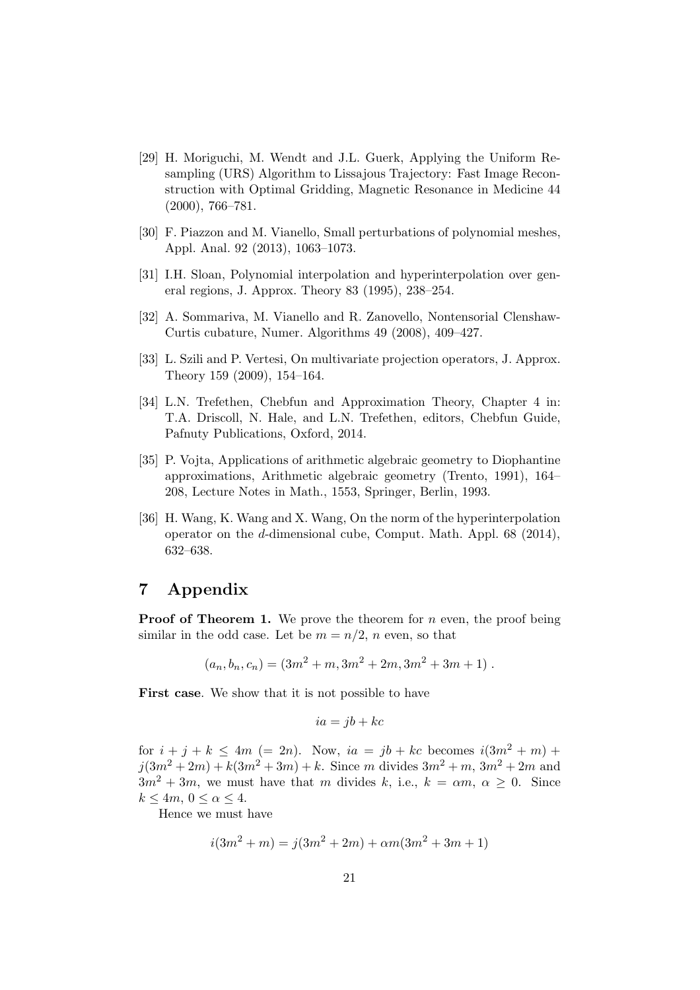- <span id="page-20-4"></span>[29] H. Moriguchi, M. Wendt and J.L. Guerk, Applying the Uniform Resampling (URS) Algorithm to Lissajous Trajectory: Fast Image Reconstruction with Optimal Gridding, Magnetic Resonance in Medicine 44 (2000), 766–781.
- <span id="page-20-6"></span><span id="page-20-0"></span>[30] F. Piazzon and M. Vianello, Small perturbations of polynomial meshes, Appl. Anal. 92 (2013), 1063–1073.
- <span id="page-20-5"></span>[31] I.H. Sloan, Polynomial interpolation and hyperinterpolation over general regions, J. Approx. Theory 83 (1995), 238–254.
- <span id="page-20-3"></span>[32] A. Sommariva, M. Vianello and R. Zanovello, Nontensorial Clenshaw-Curtis cubature, Numer. Algorithms 49 (2008), 409–427.
- <span id="page-20-7"></span>[33] L. Szili and P. Vertesi, On multivariate projection operators, J. Approx. Theory 159 (2009), 154–164.
- [34] L.N. Trefethen, Chebfun and Approximation Theory, Chapter 4 in: T.A. Driscoll, N. Hale, and L.N. Trefethen, editors, Chebfun Guide, Pafnuty Publications, Oxford, 2014.
- <span id="page-20-1"></span>[35] P. Vojta, Applications of arithmetic algebraic geometry to Diophantine approximations, Arithmetic algebraic geometry (Trento, 1991), 164– 208, Lecture Notes in Math., 1553, Springer, Berlin, 1993.
- <span id="page-20-2"></span>[36] H. Wang, K. Wang and X. Wang, On the norm of the hyperinterpolation operator on the d-dimensional cube, Comput. Math. Appl. 68 (2014), 632–638.

# 7 Appendix

**Proof of Theorem 1.** We prove the theorem for  $n$  even, the proof being similar in the odd case. Let be  $m = n/2$ , n even, so that

$$
(a_n, b_n, c_n) = (3m^2 + m, 3m^2 + 2m, 3m^2 + 3m + 1).
$$

First case. We show that it is not possible to have

$$
ia = jb + kc
$$

for  $i + j + k \le 4m$  (= 2n). Now,  $ia = jb + kc$  becomes  $i(3m^2 + m)$  +  $j(3m^2 + 2m) + k(3m^2 + 3m) + k$ . Since m divides  $3m^2 + m$ ,  $3m^2 + 2m$  and  $3m^2 + 3m$ , we must have that m divides k, i.e.,  $k = \alpha m$ ,  $\alpha \geq 0$ . Since  $k \le 4m, 0 \le \alpha \le 4.$ 

Hence we must have

$$
i(3m2 + m) = j(3m2 + 2m) + \alpha m(3m2 + 3m + 1)
$$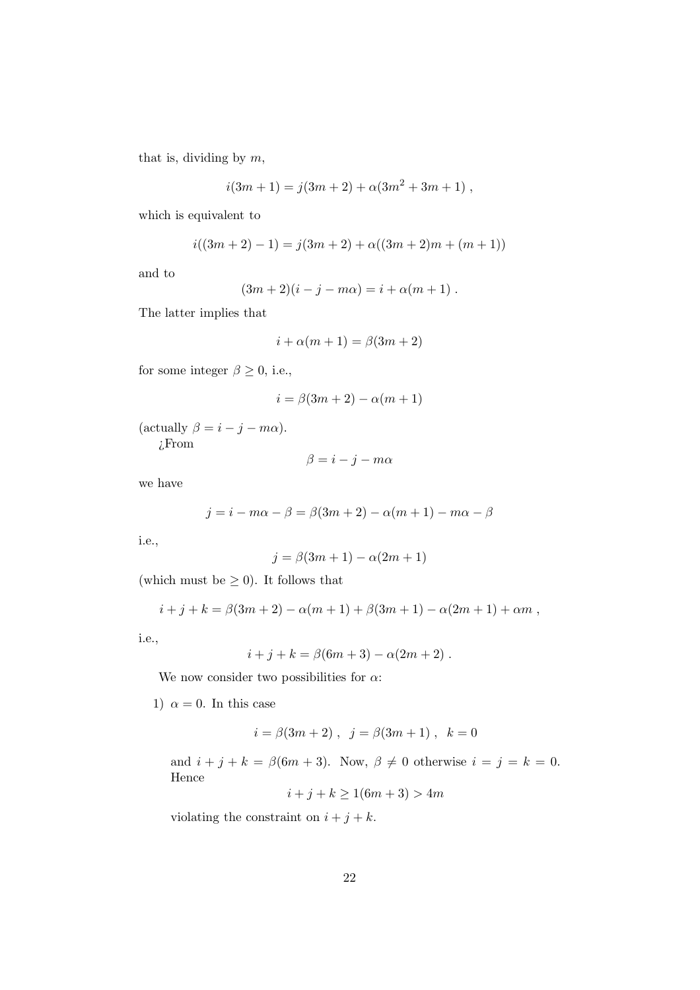that is, dividing by  $m$ ,

$$
i(3m + 1) = j(3m + 2) + \alpha(3m^{2} + 3m + 1) ,
$$

which is equivalent to

$$
i((3m + 2) - 1) = j(3m + 2) + \alpha((3m + 2)m + (m + 1))
$$

and to

$$
(3m + 2)(i - j - m\alpha) = i + \alpha(m + 1) .
$$

The latter implies that

$$
i + \alpha(m+1) = \beta(3m+2)
$$

for some integer  $\beta \geq 0$ , i.e.,

$$
i=\beta(3m+2)-\alpha(m+1)
$$

(actually  $\beta = i - j - m\alpha$ ). ¿From

$$
\beta = i - j - m\alpha
$$

we have

$$
j = i - m\alpha - \beta = \beta(3m + 2) - \alpha(m + 1) - m\alpha - \beta
$$

i.e.,

$$
j = \beta(3m+1) - \alpha(2m+1)
$$

(which must be  $\geq$  0). It follows that

$$
i + j + k = \beta(3m + 2) - \alpha(m + 1) + \beta(3m + 1) - \alpha(2m + 1) + \alpha m,
$$

i.e.,

$$
i + j + k = \beta(6m + 3) - \alpha(2m + 2)
$$
.

We now consider two possibilities for  $\alpha$ :

1)  $\alpha = 0$ . In this case

$$
i = \beta(3m + 2)
$$
,  $j = \beta(3m + 1)$ ,  $k = 0$ 

and  $i + j + k = \beta(6m + 3)$ . Now,  $\beta \neq 0$  otherwise  $i = j = k = 0$ . Hence

$$
i + j + k \ge 1(6m + 3) > 4m
$$

violating the constraint on  $i + j + k$ .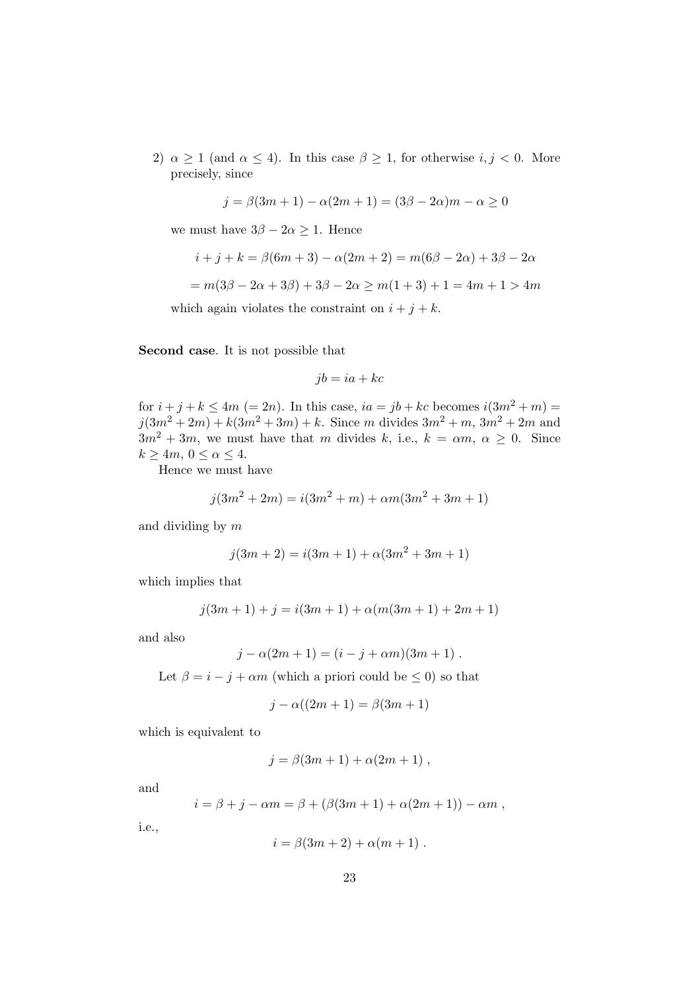2)  $\alpha \geq 1$  (and  $\alpha \leq 4$ ). In this case  $\beta \geq 1$ , for otherwise  $i, j < 0$ . More precisely, since

$$
j = \beta(3m + 1) - \alpha(2m + 1) = (3\beta - 2\alpha)m - \alpha \ge 0
$$

we must have  $3\beta - 2\alpha \geq 1$ . Hence

$$
i + j + k = \beta(6m + 3) - \alpha(2m + 2) = m(6\beta - 2\alpha) + 3\beta - 2\alpha
$$
  
=  $m(3\beta - 2\alpha + 3\beta) + 3\beta - 2\alpha \ge m(1 + 3) + 1 = 4m + 1 > 4m$ 

which again violates the constraint on  $i + j + k$ .

Second case. It is not possible that

$$
jb = ia + kc
$$

for  $i + j + k \le 4m$  (= 2n). In this case,  $ia = jb + kc$  becomes  $i(3m^2 + m) =$  $j(3m^2 + 2m) + k(3m^2 + 3m) + k$ . Since m divides  $3m^2 + m$ ,  $3m^2 + 2m$  and  $3m^2 + 3m$ , we must have that m divides k, i.e.,  $k = \alpha m$ ,  $\alpha \geq 0$ . Since  $k \ge 4m, 0 \le \alpha \le 4.$ 

Hence we must have

$$
j(3m2 + 2m) = i(3m2 + m) + \alpha m(3m2 + 3m + 1)
$$

and dividing by m

$$
j(3m + 2) = i(3m + 1) + \alpha(3m^{2} + 3m + 1)
$$

which implies that

$$
j(3m + 1) + j = i(3m + 1) + \alpha(m(3m + 1) + 2m + 1)
$$

and also

$$
j - \alpha(2m + 1) = (i - j + \alpha m)(3m + 1) .
$$

Let  $\beta = i - j + \alpha m$  (which a priori could be  $\leq 0$ ) so that

$$
j - \alpha((2m + 1) = \beta(3m + 1)
$$

which is equivalent to

$$
j = \beta(3m + 1) + \alpha(2m + 1) ,
$$

and

$$
i = \beta + j - \alpha m = \beta + (\beta(3m + 1) + \alpha(2m + 1)) - \alpha m ,
$$

i.e.,

$$
i = \beta(3m+2) + \alpha(m+1) .
$$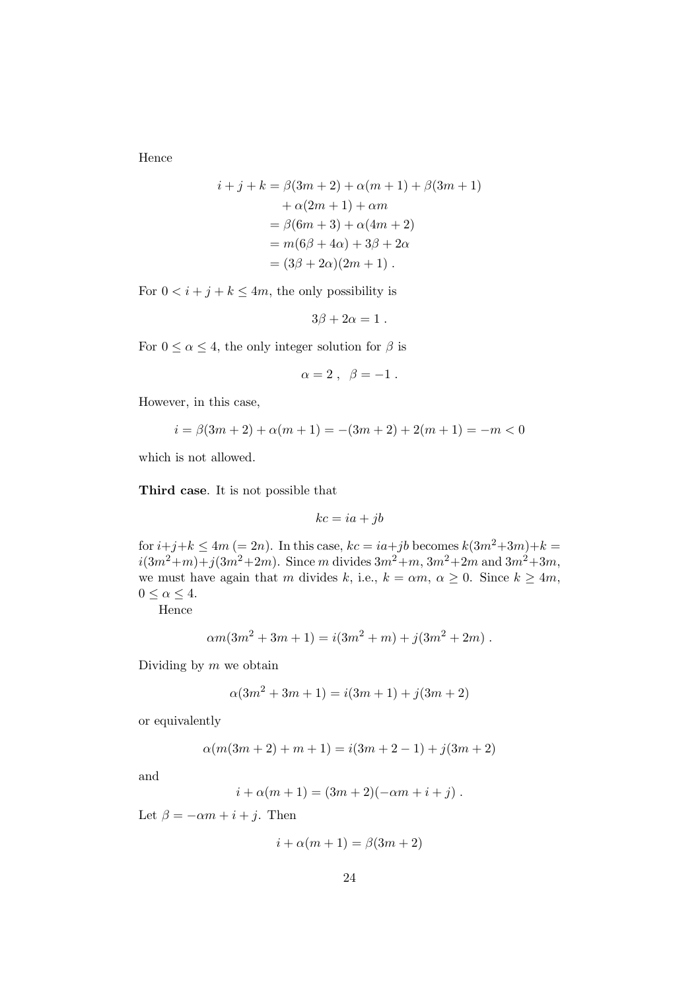Hence

$$
i + j + k = \beta(3m + 2) + \alpha(m + 1) + \beta(3m + 1) + \alpha(2m + 1) + \alpha m = \beta(6m + 3) + \alpha(4m + 2) = m(6\beta + 4\alpha) + 3\beta + 2\alpha = (3\beta + 2\alpha)(2m + 1).
$$

For  $0 \lt i + j + k \leq 4m$ , the only possibility is

$$
3\beta+2\alpha=1\;.
$$

For  $0 \le \alpha \le 4$ , the only integer solution for  $\beta$  is

$$
\alpha=2\;,\;\;\beta=-1\;.
$$

However, in this case,

$$
i = \beta(3m + 2) + \alpha(m + 1) = -(3m + 2) + 2(m + 1) = -m < 0
$$

which is not allowed.

Third case. It is not possible that

$$
kc = ia + jb
$$

for  $i+j+k \leq 4m (= 2n)$ . In this case,  $kc = ia+jb$  becomes  $k(3m^2+3m)+k =$  $i(3m^2+m)+j(3m^2+2m)$ . Since m divides  $3m^2+m$ ,  $3m^2+2m$  and  $3m^2+3m$ , we must have again that m divides k, i.e.,  $k = \alpha m$ ,  $\alpha \geq 0$ . Since  $k \geq 4m$ ,  $0 \leq \alpha \leq 4.$ 

Hence

$$
\alpha m(3m^2 + 3m + 1) = i(3m^2 + m) + j(3m^2 + 2m).
$$

Dividing by  $m$  we obtain

$$
\alpha(3m^2 + 3m + 1) = i(3m + 1) + j(3m + 2)
$$

or equivalently

$$
\alpha(m(3m+2)+m+1) = i(3m+2-1) + j(3m+2)
$$

and

$$
i + \alpha(m + 1) = (3m + 2)(-\alpha m + i + j).
$$

Let  $\beta = -\alpha m + i + j$ . Then

$$
i + \alpha(m + 1) = \beta(3m + 2)
$$